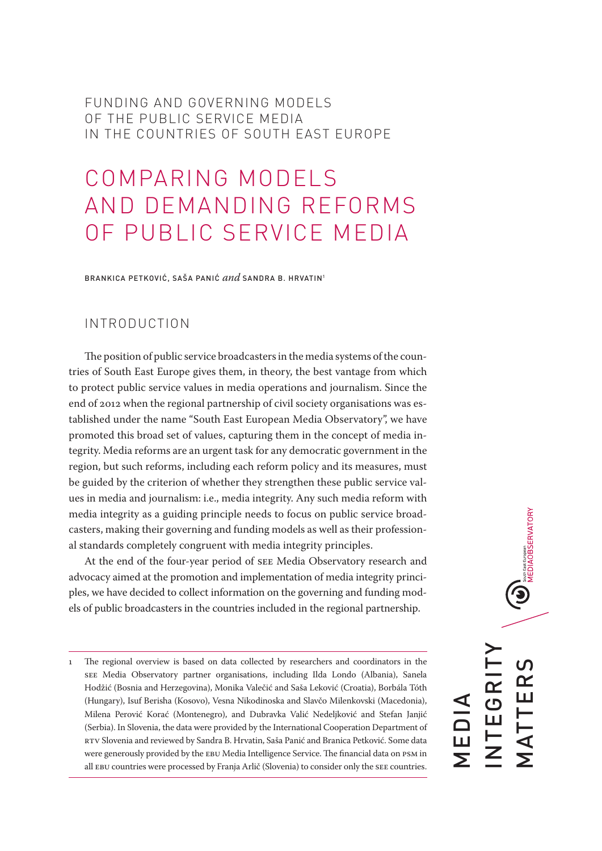FUNDING AND GOVERNING MODELS OF THE PUBLIC SERVICE MEDIA IN THE COUNTRIES OF SOUTH EAST EUROPE

# COMPARING MODELS AND DEMANDING REFORMS OF PUBLIC SERVICE MEDIA

BRANKICA PETKOVIĆ, SAŠA PANIĆ *and* SANDRA B. HRVATIN1

# INTRODUCTION

The position of public service broadcasters in the media systems of the countries of South East Europe gives them, in theory, the best vantage from which to protect public service values in media operations and journalism. Since the end of 2012 when the regional partnership of civil society organisations was established under the name "South East European Media Observatory", we have promoted this broad set of values, capturing them in the concept of media integrity. Media reforms are an urgent task for any democratic government in the region, but such reforms, including each reform policy and its measures, must be guided by the criterion of whether they strengthen these public service values in media and journalism: i.e., media integrity. Any such media reform with media integrity as a guiding principle needs to focus on public service broadcasters, making their governing and funding models as well as their professional standards completely congruent with media integrity principles.

At the end of the four-year period of SEE Media Observatory research and advocacy aimed at the promotion and implementation of media integrity principles, we have decided to collect information on the governing and funding models of public broadcasters in the countries included in the regional partnership.

**ON** South EST European<br>MEDIAOBSERVATORY INTEGRITY **MATTERS** MATTERS NTEGRI MEDIA

<sup>1</sup> The regional overview is based on data collected by researchers and coordinators in the SEE Media Observatory partner organisations, including Ilda Londo (Albania), Sanela Hodžić (Bosnia and Herzegovina), Monika Valečić and Saša Leković (Croatia), Borbála Tóth (Hungary), Isuf Berisha (Kosovo), Vesna Nikodinoska and Slavčo Milenkovski (Macedonia), Milena Perović Korać (Montenegro), and Dubravka Valić Nedeljković and Stefan Janjić (Serbia). In Slovenia, the data were provided by the International Cooperation Department of RTV Slovenia and reviewed by Sandra B. Hrvatin, Saša Panić and Branica Petković. Some data were generously provided by the EBU Media Intelligence Service. The financial data on PSM in all EBU countries were processed by Franja Arlič (Slovenia) to consider only the SEE countries.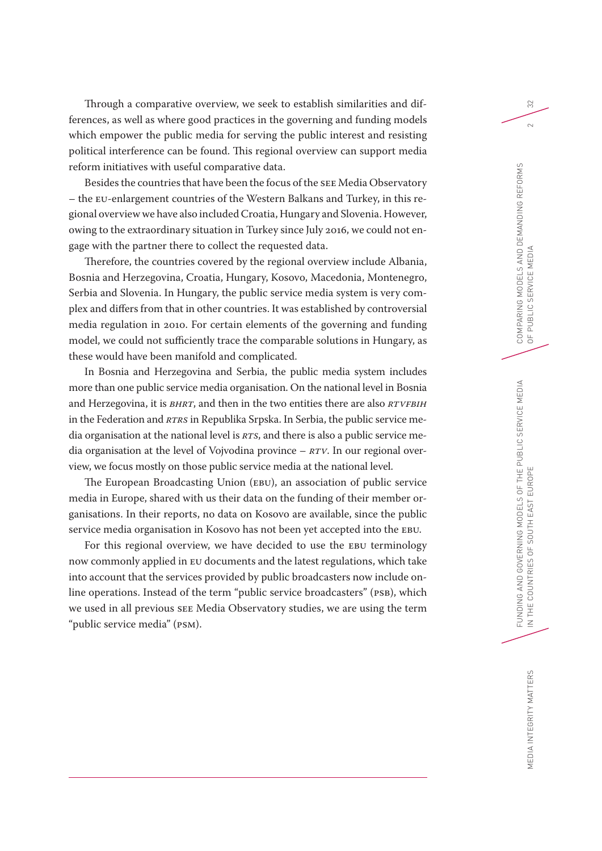Through a comparative overview, we seek to establish similarities and differences, as well as where good practices in the governing and funding models which empower the public media for serving the public interest and resisting political interference can be found. This regional overview can support media reform initiatives with useful comparative data.

Besides the countries that have been the focus of the SEE Media Observatory – the EU-enlargement countries of the Western Balkans and Turkey, in this regional overview we have also included Croatia, Hungary and Slovenia. However, owing to the extraordinary situation in Turkey since July 2016, we could not engage with the partner there to collect the requested data.

Therefore, the countries covered by the regional overview include Albania, Bosnia and Herzegovina, Croatia, Hungary, Kosovo, Macedonia, Montenegro, Serbia and Slovenia. In Hungary, the public service media system is very complex and differs from that in other countries. It was established by controversial media regulation in 2010. For certain elements of the governing and funding model, we could not sufficiently trace the comparable solutions in Hungary, as these would have been manifold and complicated.

In Bosnia and Herzegovina and Serbia, the public media system includes more than one public service media organisation. On the national level in Bosnia and Herzegovina, it is *BHRT*, and then in the two entities there are also *RTVFBiH* in the Federation and *RTRS* in Republika Srpska. In Serbia, the public service media organisation at the national level is *RTS*, and there is also a public service media organisation at the level of Vojvodina province – *RTV*. In our regional overview, we focus mostly on those public service media at the national level.

The European Broadcasting Union (EBU), an association of public service media in Europe, shared with us their data on the funding of their member organisations. In their reports, no data on Kosovo are available, since the public service media organisation in Kosovo has not been yet accepted into the EBU.

For this regional overview, we have decided to use the EBU terminology now commonly applied in EU documents and the latest regulations, which take into account that the services provided by public broadcasters now include online operations. Instead of the term "public service broadcasters" (PSB), which we used in all previous SEE Media Observatory studies, we are using the term "public service media" (PSM).

32

 $\sim$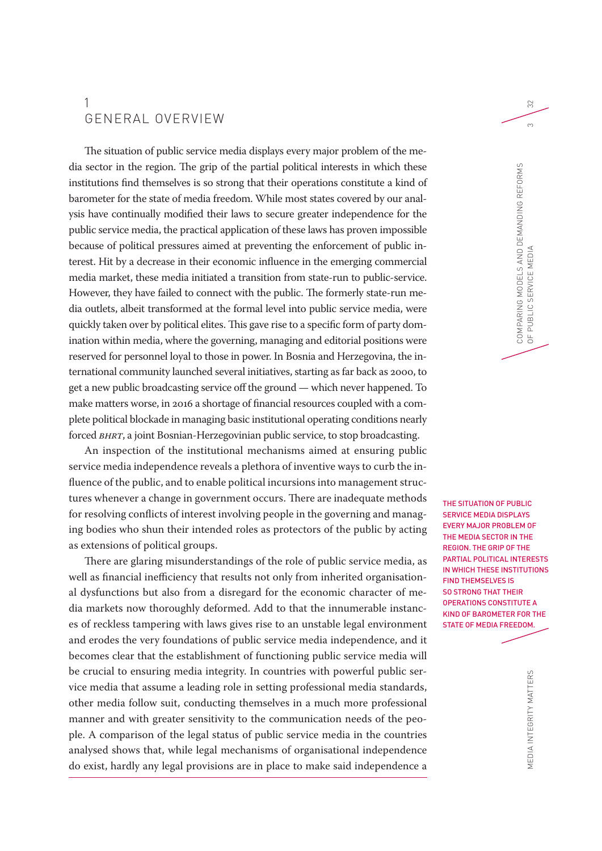# 1 GENERAL OVERVIEW

The situation of public service media displays every major problem of the media sector in the region. The grip of the partial political interests in which these institutions find themselves is so strong that their operations constitute a kind of barometer for the state of media freedom. While most states covered by our analysis have continually modified their laws to secure greater independence for the public service media, the practical application of these laws has proven impossible because of political pressures aimed at preventing the enforcement of public interest. Hit by a decrease in their economic influence in the emerging commercial media market, these media initiated a transition from state-run to public-service. However, they have failed to connect with the public. The formerly state-run media outlets, albeit transformed at the formal level into public service media, were quickly taken over by political elites. This gave rise to a specific form of party domination within media, where the governing, managing and editorial positions were reserved for personnel loyal to those in power. In Bosnia and Herzegovina, the international community launched several initiatives, starting as far back as 2000, to get a new public broadcasting service off the ground — which never happened. To make matters worse, in 2016 a shortage of financial resources coupled with a complete political blockade in managing basic institutional operating conditions nearly forced *BHRT*, a joint Bosnian-Herzegovinian public service, to stop broadcasting.

An inspection of the institutional mechanisms aimed at ensuring public service media independence reveals a plethora of inventive ways to curb the influence of the public, and to enable political incursions into management structures whenever a change in government occurs. There are inadequate methods for resolving conflicts of interest involving people in the governing and managing bodies who shun their intended roles as protectors of the public by acting as extensions of political groups.

There are glaring misunderstandings of the role of public service media, as well as financial inefficiency that results not only from inherited organisational dysfunctions but also from a disregard for the economic character of media markets now thoroughly deformed. Add to that the innumerable instances of reckless tampering with laws gives rise to an unstable legal environment and erodes the very foundations of public service media independence, and it becomes clear that the establishment of functioning public service media will be crucial to ensuring media integrity. In countries with powerful public service media that assume a leading role in setting professional media standards, other media follow suit, conducting themselves in a much more professional manner and with greater sensitivity to the communication needs of the people. A comparison of the legal status of public service media in the countries analysed shows that, while legal mechanisms of organisational independence do exist, hardly any legal provisions are in place to make said independence a

BIA<br>FUNDING AND GOVERNING MEDIAN<br>FUNDING MEDIAN IN THE COUNTRIES OF SOUTH EAST EUROPE THE SITUATION OF PUBLIC SERVICE MEDIA DISPLAYS EVERY MAJOR PROBLEM OF THE MEDIA SECTOR IN THE REGION. THE GRIP OF THE PARTIAL POLITICAL INTERESTS IN WHICH THESE INSTITUTIONS FIND THEMSELVES IS SO STRONG THAT THEIR OPERATIONS CONSTITUTE A KIND OF BAROMETER FOR THE STATE OF MEDIA FREEDOM.

> MEDIA INTEGRITY MATTERS MEDIA INTEGRITY MATTERS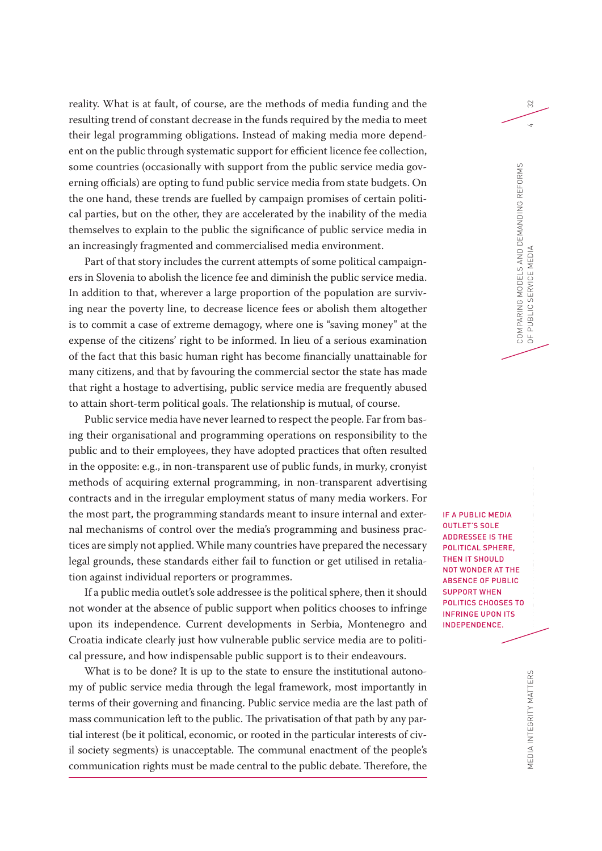reality. What is at fault, of course, are the methods of media funding and the resulting trend of constant decrease in the funds required by the media to meet their legal programming obligations. Instead of making media more dependent on the public through systematic support for efficient licence fee collection, some countries (occasionally with support from the public service media governing officials) are opting to fund public service media from state budgets. On the one hand, these trends are fuelled by campaign promises of certain political parties, but on the other, they are accelerated by the inability of the media themselves to explain to the public the significance of public service media in an increasingly fragmented and commercialised media environment.

Part of that story includes the current attempts of some political campaigners in Slovenia to abolish the licence fee and diminish the public service media. In addition to that, wherever a large proportion of the population are surviving near the poverty line, to decrease licence fees or abolish them altogether is to commit a case of extreme demagogy, where one is "saving money" at the expense of the citizens' right to be informed. In lieu of a serious examination of the fact that this basic human right has become financially unattainable for many citizens, and that by favouring the commercial sector the state has made that right a hostage to advertising, public service media are frequently abused to attain short-term political goals. The relationship is mutual, of course.

Public service media have never learned to respect the people. Far from basing their organisational and programming operations on responsibility to the public and to their employees, they have adopted practices that often resulted in the opposite: e.g., in non-transparent use of public funds, in murky, cronyist methods of acquiring external programming, in non-transparent advertising contracts and in the irregular employment status of many media workers. For the most part, the programming standards meant to insure internal and external mechanisms of control over the media's programming and business practices are simply not applied. While many countries have prepared the necessary legal grounds, these standards either fail to function or get utilised in retaliation against individual reporters or programmes.

If a public media outlet's sole addressee is the political sphere, then it should not wonder at the absence of public support when politics chooses to infringe upon its independence. Current developments in Serbia, Montenegro and Croatia indicate clearly just how vulnerable public service media are to political pressure, and how indispensable public support is to their endeavours.

What is to be done? It is up to the state to ensure the institutional autonomy of public service media through the legal framework, most importantly in terms of their governing and financing. Public service media are the last path of mass communication left to the public. The privatisation of that path by any partial interest (be it political, economic, or rooted in the particular interests of civil society segments) is unacceptable. The communal enactment of the people's communication rights must be made central to the public debate. Therefore, the

FUNDING AND GOVERNING MODELS OF THE PUBLIC SERVICE MEDIAN CONSTRUCTION CONSTRUCTION CONSTRUCTION CONSTRUCTION CONSTRUCTION CONSTRUCTION CONSTRUCTION CONSTRUCTION CONSTRUCTION CONSTRUCTION CONSTRUCTION CONSTRUCTION CONSTRUC IF A PUBLIC MEDIA OUTLET'S SOLE ADDRESSEE IS THE POLITICAL SPHERE, THEN IT SHOULD NOT WONDER AT THE ABSENCE OF PUBLIC SUPPORT WHEN POLITICS CHOOSES TO INFRINGE UPON ITS INDEPENDENCE.

COMPARING MODELS AND DEMANDING REFORMS

COMPARING MODELS AND DEMANDING REFORMS<br>OF PUBLIC SERVICE MEDIA

OF PUBLIC SERVICE MEDIA 4

PUBLIC SERVICE MEDIA

32

 $\overline{4}$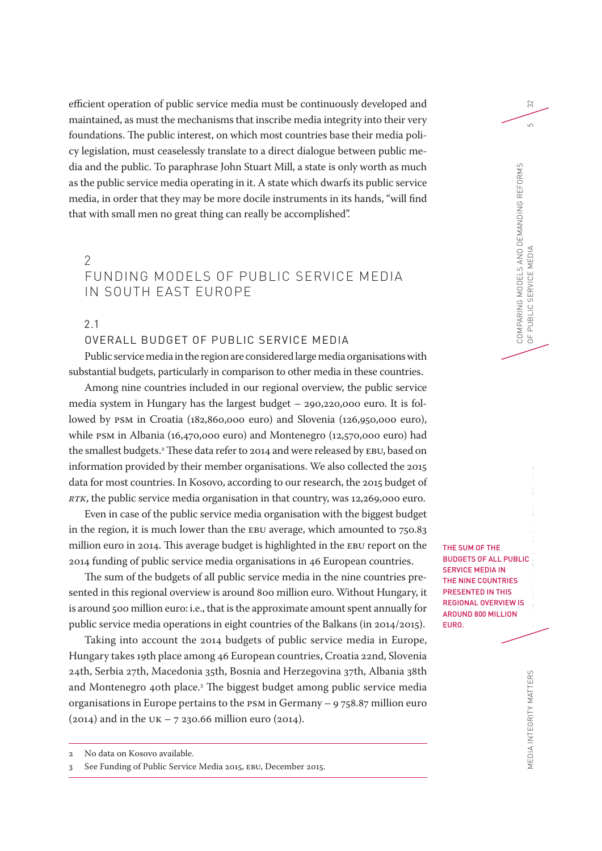efficient operation of public service media must be continuously developed and maintained, as must the mechanisms that inscribe media integrity into their very foundations. The public interest, on which most countries base their media policy legislation, must ceaselessly translate to a direct dialogue between public media and the public. To paraphrase John Stuart Mill, a state is only worth as much as the public service media operating in it. A state which dwarfs its public service media, in order that they may be more docile instruments in its hands, "will find that with small men no great thing can really be accomplished".

# $\mathcal{P}$ FUNDING MODELS OF PUBLIC SERVICE MEDIA IN SOUTH EAST EUROPE

2.1

# OVERALL BUDGET OF PUBLIC SERVICE MEDIA

Public service media in the region are considered large media organisations with substantial budgets, particularly in comparison to other media in these countries.

Among nine countries included in our regional overview, the public service media system in Hungary has the largest budget – 290,220,000 euro. It is followed by PSM in Croatia (182,860,000 euro) and Slovenia (126,950,000 euro), while PSM in Albania (16,470,000 euro) and Montenegro (12,570,000 euro) had the smallest budgets.2 These data refer to 2014 and were released by EBU, based on information provided by their member organisations. We also collected the 2015 data for most countries. In Kosovo, according to our research, the 2015 budget of *RTK*, the public service media organisation in that country, was 12,269,000 euro.

Even in case of the public service media organisation with the biggest budget in the region, it is much lower than the EBU average, which amounted to 750.83 million euro in 2014. This average budget is highlighted in the EBU report on the 2014 funding of public service media organisations in 46 European countries.

The sum of the budgets of all public service media in the nine countries presented in this regional overview is around 800 million euro. Without Hungary, it is around 500 million euro: i.e., that is the approximate amount spent annually for public service media operations in eight countries of the Balkans (in 2014/2015).

Taking into account the 2014 budgets of public service media in Europe, Hungary takes 19th place among 46 European countries, Croatia 22nd, Slovenia 24th, Serbia 27th, Macedonia 35th, Bosnia and Herzegovina 37th, Albania 38th and Montenegro 40th place.3 The biggest budget among public service media organisations in Europe pertains to the PSM in Germany – 9 758.87 million euro (2014) and in the UK – 7 230.66 million euro (2014).

FUNDING AND GOVERNMENT SERVICE MEDIAN SERVICE MEDIAN SERVICE MEDIAN SERVICE MEDIAN SERVICE MEDIAN SERVICE MEDIAN SERVICE MEDIAN SERVICE MEDIAN SERVICE MEDIAN SERVICE MEDIAN SERVICE MEDIAN SERVICE MEDIAN SERVICE MEDIAN SERV IN THE COUNTRIES OF SOUTH EAST COUNTRIES OF SOUTH EAST COUNTRIES OF SOUTH EAST COUNTRIES OF SOUTH EAST COUNTRIES OF SOUTH EAST COUNTRIES OF SOUTH EAST COUNTRIES OF SOUTH EAST COUNTRIES OF SOUTH EAST COUNTRIES OF SOUTH EAST THE SUM OF THE BUDGETS OF ALL PUBLIC SERVICE MEDIA IN THE NINE COUNTRIES PRESENTED IN THIS REGIONAL OVERVIEW IS AROUND 800 MILLION EURO.

32

 $\overline{5}$ 

<sup>2</sup> No data on Kosovo available.

<sup>3</sup> See Funding of Public Service Media 2015, EBU, December 2015.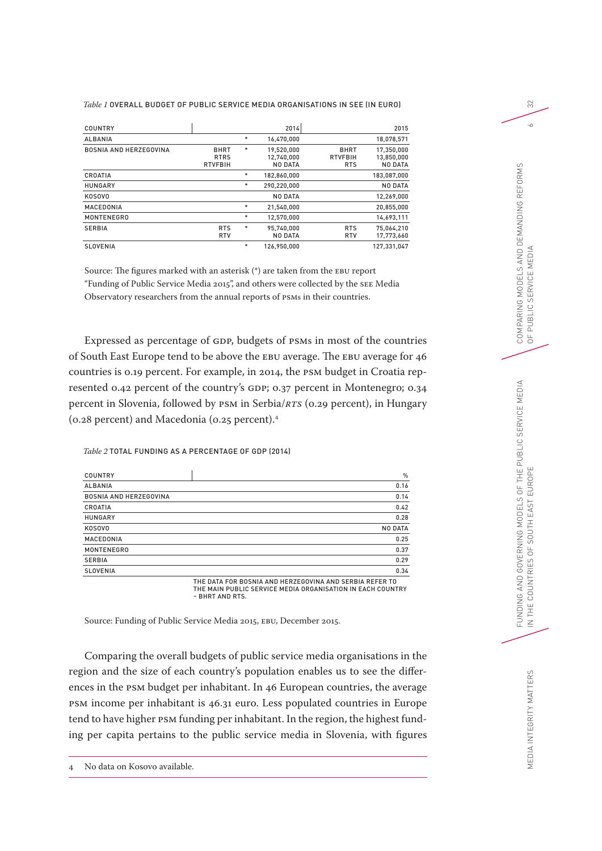#### *Table 1* OVERALL BUDGET OF PUBLIC SERVICE MEDIA ORGANISATIONS IN SEE (IN EURO)

| COUNTRY                       |                                              |        | 2014                                |                                             | 2015                                       |
|-------------------------------|----------------------------------------------|--------|-------------------------------------|---------------------------------------------|--------------------------------------------|
| <b>ALBANIA</b>                |                                              | $\ast$ | 16,470,000                          |                                             | 18,078,571                                 |
| <b>BOSNIA AND HERZEGOVINA</b> | <b>BHRT</b><br><b>RTRS</b><br><b>RTVFBIH</b> | $\ast$ | 19.520.000<br>12.740.000<br>NO DATA | <b>BHRT</b><br><b>RTVFBIH</b><br><b>RTS</b> | 17.350.000<br>13.850.000<br><b>NO DATA</b> |
| CROATIA                       |                                              | $\ast$ | 182.860.000                         |                                             | 183,087,000                                |
| <b>HUNGARY</b>                |                                              | *      | 290,220,000                         |                                             | <b>NO DATA</b>                             |
| KOSOVO                        |                                              |        | <b>NO DATA</b>                      |                                             | 12,269,000                                 |
| MACEDONIA                     |                                              | $\ast$ | 21,540,000                          |                                             | 20,855,000                                 |
| <b>MONTENEGRO</b>             |                                              | $\ast$ | 12,570,000                          |                                             | 14,693,111                                 |
| <b>SERBIA</b>                 | <b>RTS</b><br><b>RTV</b>                     | *      | 95.740.000<br>NO DATA               | <b>RTS</b><br><b>RTV</b>                    | 75.064.210<br>17,773,660                   |
| <b>SLOVENIA</b>               |                                              | $\ast$ | 126.950.000                         |                                             | 127.331.047                                |

Source: The figures marked with an asterisk (\*) are taken from the EBU report "Funding of Public Service Media 2015", and others were collected by the SEE Media Observatory researchers from the annual reports of PSMs in their countries.

Expressed as percentage of GDP, budgets of PSMs in most of the countries of South East Europe tend to be above the EBU average. The EBU average for 46 countries is 0.19 percent. For example, in 2014, the PSM budget in Croatia represented 0.42 percent of the country's GDP; 0.37 percent in Montenegro; 0.34 percent in Slovenia, followed by PSM in Serbia/*RTS* (0.29 percent), in Hungary (0.28 percent) and Macedonia (0.25 percent).4

#### *Table 2* TOTAL FUNDING AS A PERCENTAGE OF GDP (2014)

| <b>COUNTRY</b>                | $\%$                                                    |
|-------------------------------|---------------------------------------------------------|
| <b>ALBANIA</b>                | 0.16                                                    |
| <b>BOSNIA AND HERZEGOVINA</b> | 0.14                                                    |
| CROATIA                       | 0.42                                                    |
| <b>HUNGARY</b>                | 0.28                                                    |
| KOSOVO                        | <b>NO DATA</b>                                          |
| MACEDONIA                     | 0.25                                                    |
| <b>MONTENEGRO</b>             | 0.37                                                    |
| <b>SERBIA</b>                 | 0.29                                                    |
| <b>SLOVENIA</b>               | 0.34                                                    |
|                               | THE DATA FOR BOSNIA AND HERZEGOVINA AND SERBIA REFER TO |

THE DATA FOR BOSNIA AND HERZEGOVINA AND SERBIA REFER TO THE MAIN PUBLIC SERVICE MEDIA ORGANISATION IN EACH COUNTRY – BHRT AND RTS.

Source: Funding of Public Service Media 2015, EBU, December 2015.

Comparing the overall budgets of public service media organisations in the region and the size of each country's population enables us to see the differences in the PSM budget per inhabitant. In 46 European countries, the average PSM income per inhabitant is 46.31 euro. Less populated countries in Europe tend to have higher PSM funding per inhabitant. In the region, the highest funding per capita pertains to the public service media in Slovenia, with figures

32

 $\sim$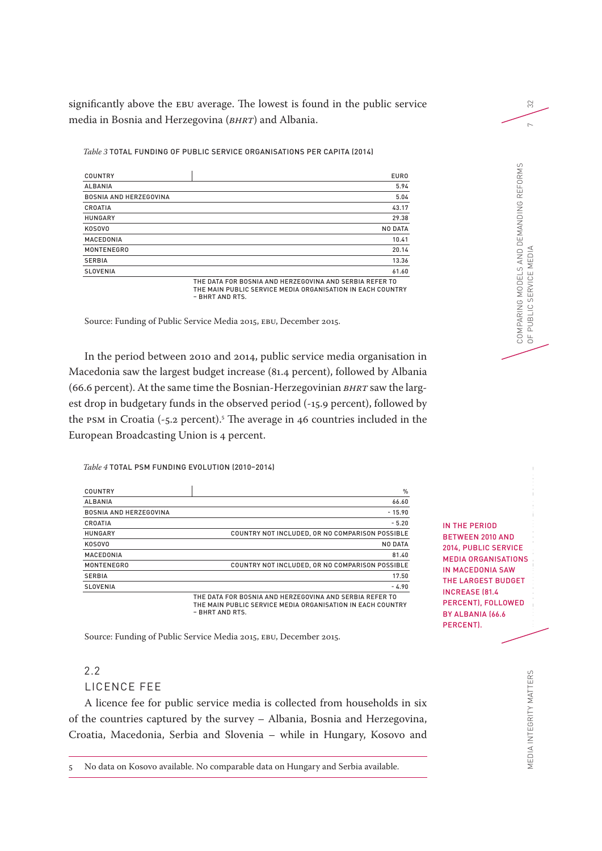significantly above the EBU average. The lowest is found in the public service media in Bosnia and Herzegovina (*BHRT*) and Albania.

*Table 3* TOTAL FUNDING OF PUBLIC SERVICE ORGANISATIONS PER CAPITA (2014)

| COUNTRY                       | <b>EURO</b>                                                                                                           |
|-------------------------------|-----------------------------------------------------------------------------------------------------------------------|
| <b>ALBANIA</b>                | 5.94                                                                                                                  |
| <b>BOSNIA AND HERZEGOVINA</b> | 5.04                                                                                                                  |
| CROATIA                       | 43.17                                                                                                                 |
| <b>HUNGARY</b>                | 29.38                                                                                                                 |
| KOSOVO                        | <b>NO DATA</b>                                                                                                        |
| MACEDONIA                     | 10.41                                                                                                                 |
| <b>MONTENEGRO</b>             | 20.14                                                                                                                 |
| <b>SERBIA</b>                 | 13.36                                                                                                                 |
| <b>SLOVENIA</b>               | 61.60                                                                                                                 |
|                               | THE DATA FOR BOSNIA AND HERZEGOVINA AND SERBIA REFER TO<br>THE MAIN PUBLIC SERVICE MEDIA ORGANISATION IN EACH COUNTRY |

– BHRT AND RTS.

Source: Funding of Public Service Media 2015, EBU, December 2015.

In the period between 2010 and 2014, public service media organisation in Macedonia saw the largest budget increase (81.4 percent), followed by Albania (66.6 percent). At the same time the Bosnian-Herzegovinian *BHRT* saw the largest drop in budgetary funds in the observed period (-15.9 percent), followed by the PSM in Croatia (-5.2 percent).5 The average in 46 countries included in the European Broadcasting Union is 4 percent.

#### *Table 4* TOTAL PSM FUNDING EVOLUTION (2010–2014)

| COUNTRY                       | $\%$                                            |
|-------------------------------|-------------------------------------------------|
| <b>ALBANIA</b>                | 66.60                                           |
| <b>BOSNIA AND HERZEGOVINA</b> | $-15.90$                                        |
| CROATIA                       | $-5.20$                                         |
| <b>HUNGARY</b>                | COUNTRY NOT INCLUDED, OR NO COMPARISON POSSIBLE |
| KOSOVO                        | <b>NO DATA</b>                                  |
| MACEDONIA                     | 81.40                                           |
| <b>MONTENEGRO</b>             | COUNTRY NOT INCLUDED, OR NO COMPARISON POSSIBLE |
| <b>SERBIA</b>                 | 17.50                                           |
| <b>SLOVENIA</b>               | $-4.90$                                         |

THE DATA FOR BOSNIA AND HERZEGOVINA AND SERBIA REFER TO THE MAIN PUBLIC SERVICE MEDIA ORGANISATION IN EACH COUNTRY – BHRT AND RTS.

Source: Funding of Public Service Media 2015, EBU, December 2015.

# 2.2

# LICENCE FEE

A licence fee for public service media is collected from households in six of the countries captured by the survey – Albania, Bosnia and Herzegovina, Croatia, Macedonia, Serbia and Slovenia – while in Hungary, Kosovo and

5 No data on Kosovo available. No comparable data on Hungary and Serbia available.

FUNDING AND GOVERNING SERVICE SERVICE SERVICE SERVICE SERVICE SERVICE SERVICE SERVICE SERVICE SERVICE SERVICE SERVICE SERVICE SERVICE SERVICE SERVICE SERVICE SERVICE SERVICE SERVICE SERVICE SERVICE SERVICE SERVICE SERVICE IN THE COUNTRIES OF SOUTH EAST EUROPE IN THE PERIOD BETWEEN 2010 AND 2014, PUBLIC SERVICE MEDIA ORGANISATIONS IN MACEDONIA SAW THE LARGEST BUDGET INCREASE (81.4 PERCENT), FOLLOWED BY ALBANIA (66.6 PERCENT).

COMPARING MODELS AND DEMANDING REFORMS

COMPARING MODELS AND DEMANDING REFORMS<br>OF PUBLIC SERVICE MEDIA

OF PUBLIC SERVICE MEDIA 7

32

 $\sim$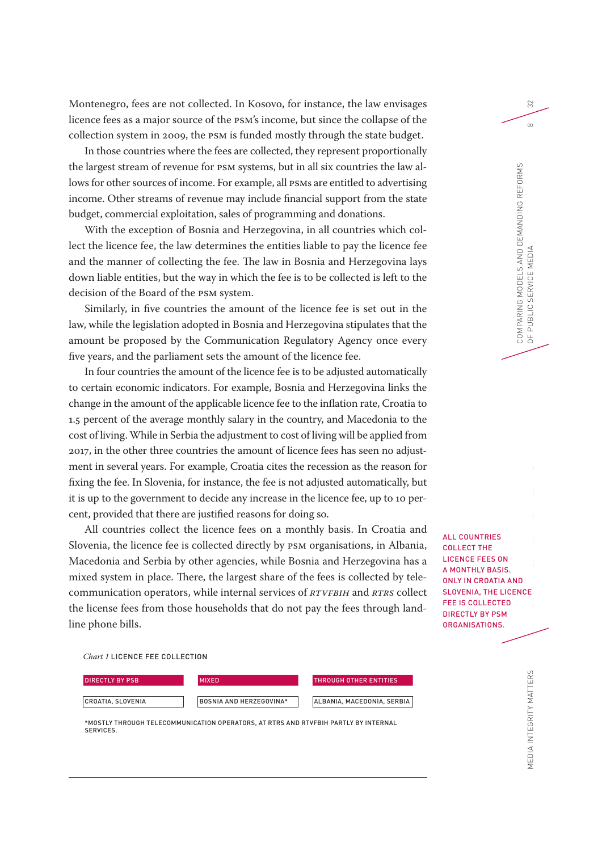Montenegro, fees are not collected. In Kosovo, for instance, the law envisages licence fees as a major source of the PSM's income, but since the collapse of the collection system in 2009, the PSM is funded mostly through the state budget.

In those countries where the fees are collected, they represent proportionally the largest stream of revenue for PSM systems, but in all six countries the law allows for other sources of income. For example, all PSMs are entitled to advertising income. Other streams of revenue may include financial support from the state budget, commercial exploitation, sales of programming and donations.

With the exception of Bosnia and Herzegovina, in all countries which collect the licence fee, the law determines the entities liable to pay the licence fee and the manner of collecting the fee. The law in Bosnia and Herzegovina lays down liable entities, but the way in which the fee is to be collected is left to the decision of the Board of the PSM system.

Similarly, in five countries the amount of the licence fee is set out in the law, while the legislation adopted in Bosnia and Herzegovina stipulates that the amount be proposed by the Communication Regulatory Agency once every five years, and the parliament sets the amount of the licence fee.

In four countries the amount of the licence fee is to be adjusted automatically to certain economic indicators. For example, Bosnia and Herzegovina links the change in the amount of the applicable licence fee to the inflation rate, Croatia to 1.5 percent of the average monthly salary in the country, and Macedonia to the cost of living. While in Serbia the adjustment to cost of living will be applied from 2017, in the other three countries the amount of licence fees has seen no adjustment in several years. For example, Croatia cites the recession as the reason for fixing the fee. In Slovenia, for instance, the fee is not adjusted automatically, but it is up to the government to decide any increase in the licence fee, up to 10 percent, provided that there are justified reasons for doing so.

All countries collect the licence fees on a monthly basis. In Croatia and Slovenia, the licence fee is collected directly by PSM organisations, in Albania, Macedonia and Serbia by other agencies, while Bosnia and Herzegovina has a mixed system in place. There, the largest share of the fees is collected by telecommunication operators, while internal services of *RTVFBiH* and *RTRS* collect the license fees from those households that do not pay the fees through landline phone bills.

*Chart 1* LICENCE FEE COLLECTION



\*MOSTLY THROUGH TELECOMMUNICATION OPERATORS, AT RTRS AND RTVFBIH PARTLY BY INTERNAL **SERVICES** 

ID<br>N IN THE COUNTRIES OF SOUTH EAST EUROPE ALL COUNTRIES COLLECT THE LICENCE FEES ON A MONTHLY BASIS. ONLY IN CROATIA AND SLOVENIA, THE LICENCE FEE IS COLLECTED

DIRECTLY BY PSM ORGANISATIONS.

COMPARING MODELS AND DEMANDING REFORMS

COMPARING MODELS AND DEMANDING REFORMS<br>OF PUBLIC SERVICE MEDIA

OF PUBLIC SERVICE MEDIA 8

PUBLIC SERVICE MEDIA

32

 $\infty$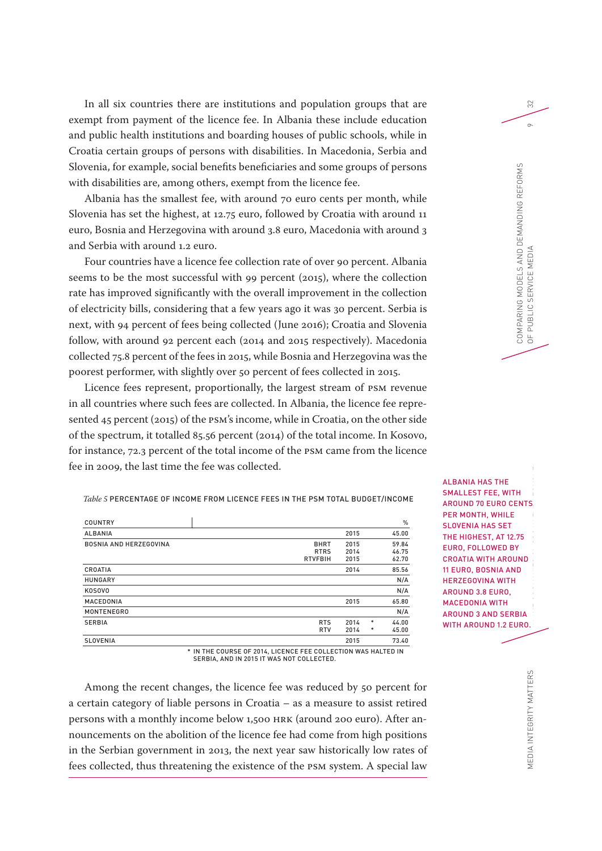In all six countries there are institutions and population groups that are exempt from payment of the licence fee. In Albania these include education and public health institutions and boarding houses of public schools, while in Croatia certain groups of persons with disabilities. In Macedonia, Serbia and Slovenia, for example, social benefits beneficiaries and some groups of persons with disabilities are, among others, exempt from the licence fee.

Albania has the smallest fee, with around 70 euro cents per month, while Slovenia has set the highest, at 12.75 euro, followed by Croatia with around 11 euro, Bosnia and Herzegovina with around 3.8 euro, Macedonia with around 3 and Serbia with around 1.2 euro.

Four countries have a licence fee collection rate of over 90 percent. Albania seems to be the most successful with 99 percent (2015), where the collection rate has improved significantly with the overall improvement in the collection of electricity bills, considering that a few years ago it was 30 percent. Serbia is next, with 94 percent of fees being collected (June 2016); Croatia and Slovenia follow, with around 92 percent each (2014 and 2015 respectively). Macedonia collected 75.8 percent of the fees in 2015, while Bosnia and Herzegovina was the poorest performer, with slightly over 50 percent of fees collected in 2015.

Licence fees represent, proportionally, the largest stream of PSM revenue in all countries where such fees are collected. In Albania, the licence fee represented 45 percent (2015) of the PSM's income, while in Croatia, on the other side of the spectrum, it totalled 85.56 percent (2014) of the total income. In Kosovo, for instance, 72.3 percent of the total income of the PSM came from the licence fee in 2009, the last time the fee was collected.

*Table 5* PERCENTAGE OF INCOME FROM LICENCE FEES IN THE PSM TOTAL BUDGET/INCOME

| <b>COUNTRY</b>                |                                              |                      |        | $\%$                    |
|-------------------------------|----------------------------------------------|----------------------|--------|-------------------------|
| <b>ALBANIA</b>                |                                              | 2015                 |        | 45.00                   |
| <b>BOSNIA AND HERZEGOVINA</b> | <b>BHRT</b><br><b>RTRS</b><br><b>RTVFBIH</b> | 2015<br>2014<br>2015 |        | 59.84<br>46.75<br>62.70 |
| CROATIA                       |                                              | 2014                 |        | 85.56                   |
| <b>HUNGARY</b>                |                                              |                      |        | N/A                     |
| <b>KOSOVO</b>                 |                                              |                      |        | N/A                     |
| MACEDONIA                     |                                              | 2015                 |        | 65.80                   |
| <b>MONTENEGRO</b>             |                                              |                      |        | N/A                     |
| <b>SERBIA</b>                 | <b>RTS</b><br><b>RTV</b>                     | 2014<br>2014         | *<br>* | 44.00<br>45.00          |
| <b>SLOVENIA</b>               |                                              | 2015                 |        | 73.40                   |

FUNDING AND GOVERNING MODELS OF THE PUBLIC SERVICE MEDIAN SERVICE SERVICE MEDIAN SERVICE MEDIAN SERVICE SERVICE MEDIAN SERVICE MEDIAN SERVICE SERVICE SERVICE MEDIAN SERVICE MEDIAN SERVICE MEDIAN SERVICE MEDIAN SERVICE MEDI IN THE COUNTRIES OF SOUTH EAST END ALBANIA HAS THE SMALLEST FEE, WITH AROUND 70 EURO CENTS PER MONTH, WHILE SLOVENIA HAS SET THE HIGHEST, AT 12.75 EURO, FOLLOWED BY CROATIA WITH AROUND 11 EURO, BOSNIA AND HERZEGOVINA WITH AROUND 3.8 EURO, MACEDONIA WITH AROUND 3 AND SERBIA WITH AROUND 1.2 EURO.

\* IN THE COURSE OF 2014, LICENCE FEE COLLECTION WAS HALTED IN SERBIA, AND IN 2015 IT WAS NOT COLLECTED.

Among the recent changes, the licence fee was reduced by 50 percent for a certain category of liable persons in Croatia – as a measure to assist retired persons with a monthly income below 1,500 HRK (around 200 euro). After announcements on the abolition of the licence fee had come from high positions in the Serbian government in 2013, the next year saw historically low rates of fees collected, thus threatening the existence of the PSM system. A special law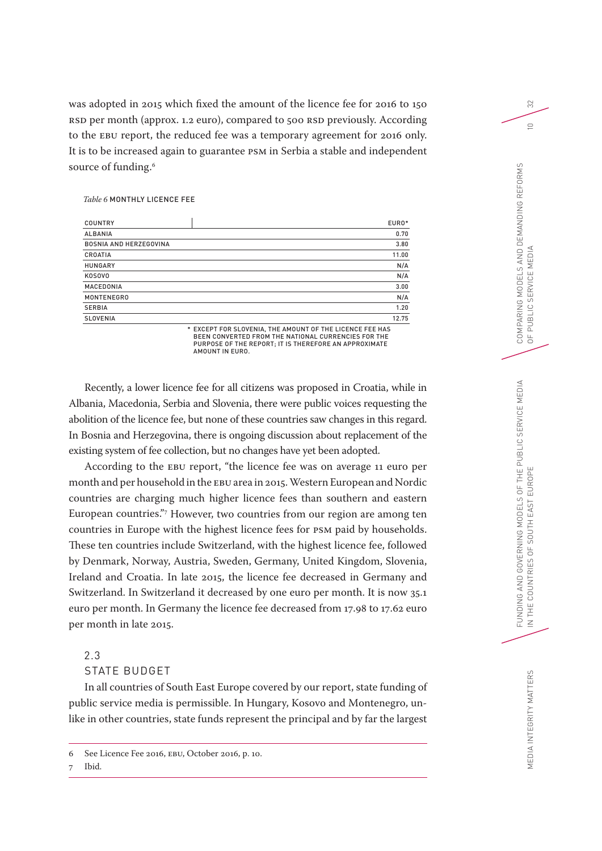was adopted in 2015 which fixed the amount of the licence fee for 2016 to 150 RSD per month (approx. 1.2 euro), compared to 500 RSD previously. According to the EBU report, the reduced fee was a temporary agreement for 2016 only. It is to be increased again to guarantee PSM in Serbia a stable and independent source of funding.<sup>6</sup>

#### *Table 6* MONTHLY LICENCE FEE

| <b>COUNTRY</b>                | EURO* |
|-------------------------------|-------|
| <b>ALBANIA</b>                | 0.70  |
| <b>BOSNIA AND HERZEGOVINA</b> | 3.80  |
| CROATIA                       | 11.00 |
| <b>HUNGARY</b>                | N/A   |
| <b>KOSOVO</b>                 | N/A   |
| MACEDONIA                     | 3.00  |
| <b>MONTENEGRO</b>             | N/A   |
| <b>SERBIA</b>                 | 1.20  |
| <b>SLOVENIA</b>               | 12.75 |

\* EXCEPT FOR SLOVENIA, THE AMOUNT OF THE LICENCE FEE HAS BEEN CONVERTED FROM THE NATIONAL CURRENCIES FOR THE PURPOSE OF THE REPORT; IT IS THEREFORE AN APPROXIMATE AMOUNT IN EURO.

Recently, a lower licence fee for all citizens was proposed in Croatia, while in Albania, Macedonia, Serbia and Slovenia, there were public voices requesting the abolition of the licence fee, but none of these countries saw changes in this regard. In Bosnia and Herzegovina, there is ongoing discussion about replacement of the existing system of fee collection, but no changes have yet been adopted.

According to the EBU report, "the licence fee was on average 11 euro per month and per household in the EBU area in 2015. Western European and Nordic countries are charging much higher licence fees than southern and eastern European countries."7 However, two countries from our region are among ten countries in Europe with the highest licence fees for PSM paid by households. These ten countries include Switzerland, with the highest licence fee, followed by Denmark, Norway, Austria, Sweden, Germany, United Kingdom, Slovenia, Ireland and Croatia. In late 2015, the licence fee decreased in Germany and Switzerland. In Switzerland it decreased by one euro per month. It is now 35.1 euro per month. In Germany the licence fee decreased from 17.98 to 17.62 euro per month in late 2015.

# 2.3

# STATE BUDGET

In all countries of South East Europe covered by our report, state funding of public service media is permissible. In Hungary, Kosovo and Montenegro, unlike in other countries, state funds represent the principal and by far the largest

# 7 Ibid.

32

 $\supseteq$ 

<sup>6</sup> See Licence Fee 2016, EBU, October 2016, p. 10.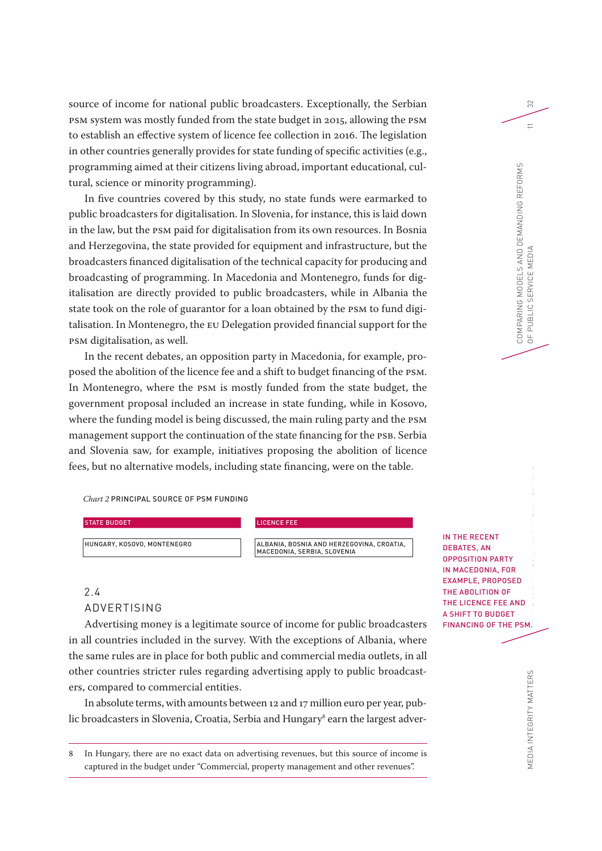source of income for national public broadcasters. Exceptionally, the Serbian PSM system was mostly funded from the state budget in 2015, allowing the PSM to establish an effective system of licence fee collection in 2016. The legislation in other countries generally provides for state funding of specific activities (e.g., programming aimed at their citizens living abroad, important educational, cultural, science or minority programming).

In five countries covered by this study, no state funds were earmarked to public broadcasters for digitalisation. In Slovenia, for instance, this is laid down in the law, but the PSM paid for digitalisation from its own resources. In Bosnia and Herzegovina, the state provided for equipment and infrastructure, but the broadcasters financed digitalisation of the technical capacity for producing and broadcasting of programming. In Macedonia and Montenegro, funds for digitalisation are directly provided to public broadcasters, while in Albania the state took on the role of guarantor for a loan obtained by the PSM to fund digitalisation. In Montenegro, the EU Delegation provided financial support for the PSM digitalisation, as well.

In the recent debates, an opposition party in Macedonia, for example, proposed the abolition of the licence fee and a shift to budget financing of the PSM. In Montenegro, where the PSM is mostly funded from the state budget, the government proposal included an increase in state funding, while in Kosovo, where the funding model is being discussed, the main ruling party and the PSM management support the continuation of the state financing for the PSB. Serbia and Slovenia saw, for example, initiatives proposing the abolition of licence fees, but no alternative models, including state financing, were on the table.

*Chart 2* PRINCIPAL SOURCE OF PSM FUNDING

#### STATE BUDGET AND RESIDENCE FEET AND RESIDENCE FEET AND RESIDENCE FEET AND RESIDENCE FEET AND RESIDENCE FEET AND RESIDENCE FEET AND RESIDENCE FEET AND RESIDENCE FEET AND RESIDENCE THE SECOND SECOND SECOND SECOND SECOND SECO

HUNGARY, KOSOVO, MONTENEGRO ALBANIA, BOSNIA AND HERZEGOVINA, CROATIA, MACEDONIA, SERBIA, SLOVENIA

# 2.4 ADVERTISING

Advertising money is a legitimate source of income for public broadcasters in all countries included in the survey. With the exceptions of Albania, where the same rules are in place for both public and commercial media outlets, in all other countries stricter rules regarding advertising apply to public broadcasters, compared to commercial entities.

In absolute terms, with amounts between 12 and 17 million euro per year, public broadcasters in Slovenia, Croatia, Serbia and Hungary<sup>s</sup> earn the largest adver-

8 In Hungary, there are no exact data on advertising revenues, but this source of income is captured in the budget under "Commercial, property management and other revenues".

D<br>NI<br>Po IN THE COUNTRY OF SOUTH EAST COUNTRIES OF SOUTH EAST OF SOUTH EAST OF SOUTH EAST COUNTRIES OF SOUTH EAST OF SOUTH EAST OF SOUTH EAST OF SOUTH EAST OF SOUTH EAST OF SOUTH EAST OF SOUTH EAST OF SOUTH EAST OF SOUTH EAST OF SO IN THE RECENT DEBATES, AN OPPOSITION PARTY IN MACEDONIA, FOR EXAMPLE, PROPOSED THE ABOLITION OF THE LICENCE FEE AND A SHIFT TO BUDGET FINANCING OF THE PSM.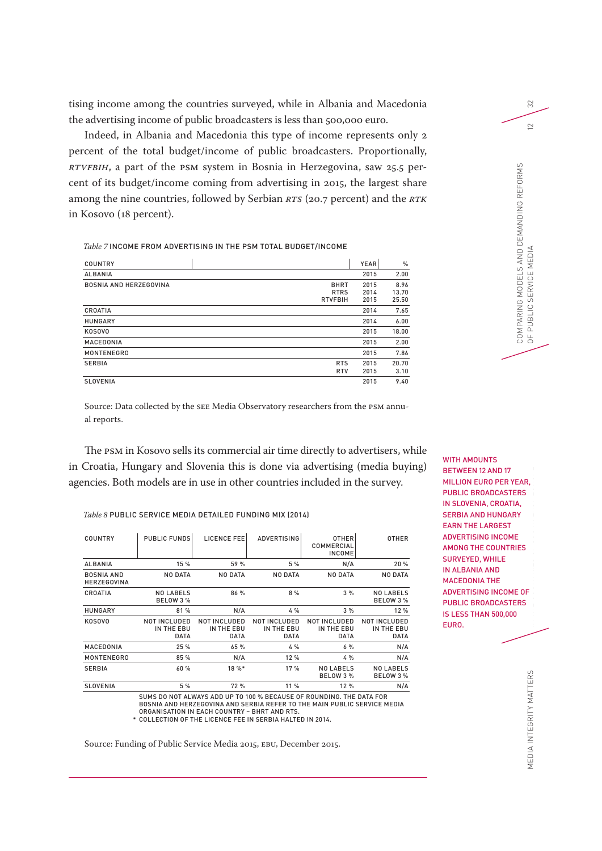tising income among the countries surveyed, while in Albania and Macedonia the advertising income of public broadcasters is less than 500,000 euro.

Indeed, in Albania and Macedonia this type of income represents only 2 percent of the total budget/income of public broadcasters. Proportionally, *RTVFBiH*, a part of the PSM system in Bosnia in Herzegovina, saw 25.5 percent of its budget/income coming from advertising in 2015, the largest share among the nine countries, followed by Serbian *RTS* (20.7 percent) and the *RTK* in Kosovo (18 percent).

*Table 7* INCOME FROM ADVERTISING IN THE PSM TOTAL BUDGET/INCOME

| <b>COUNTRY</b>                |                                              | <b>YEAR</b>          | $\%$                   |
|-------------------------------|----------------------------------------------|----------------------|------------------------|
| <b>ALBANIA</b>                |                                              | 2015                 | 2.00                   |
| <b>BOSNIA AND HERZEGOVINA</b> | <b>BHRT</b><br><b>RTRS</b><br><b>RTVFBIH</b> | 2015<br>2014<br>2015 | 8.96<br>13.70<br>25.50 |
| CROATIA                       |                                              | 2014                 | 7.65                   |
| <b>HUNGARY</b>                |                                              | 2014                 | 6.00                   |
| <b>KOSOVO</b>                 |                                              | 2015                 | 18.00                  |
| MACEDONIA                     |                                              | 2015                 | 2.00                   |
| <b>MONTENEGRO</b>             |                                              | 2015                 | 7.86                   |
| <b>SERBIA</b>                 | <b>RTS</b><br><b>RTV</b>                     | 2015<br>2015         | 20.70<br>3.10          |
| <b>SLOVENIA</b>               |                                              | 2015                 | 9.40                   |

Source: Data collected by the SEE Media Observatory researchers from the PSM annual reports.

The PSM in Kosovo sells its commercial air time directly to advertisers, while in Croatia, Hungary and Slovenia this is done via advertising (media buying) agencies. Both models are in use in other countries included in the survey.

*Table 8* PUBLIC SERVICE MEDIA DETAILED FUNDING MIX (2014)

| <b>COUNTRY</b>                          | <b>PUBLIC FUNDS</b>                              | LICENCE FEE                               | <b>ADVERTISING</b>                        | <b>OTHER</b><br>COMMERCIAL<br><b>INCOME</b>      | <b>OTHER</b>                                     |
|-----------------------------------------|--------------------------------------------------|-------------------------------------------|-------------------------------------------|--------------------------------------------------|--------------------------------------------------|
| <b>ALBANIA</b>                          | 15 %                                             | 59 %                                      | 5 %                                       | N/A                                              | 20 %                                             |
| <b>BOSNIA AND</b><br><b>HERZEGOVINA</b> | <b>NO DATA</b>                                   | <b>NO DATA</b>                            | NO DATA                                   | <b>NO DATA</b>                                   | <b>NO DATA</b>                                   |
| CROATIA                                 | <b>NO LABELS</b><br>BELOW 3 %                    | 86 %                                      | 8%                                        | 3%                                               | <b>NO LABELS</b><br><b>BELOW 3 %</b>             |
| <b>HUNGARY</b>                          | 81 %                                             | N/A                                       | 4%                                        | 3%                                               | 12 %                                             |
| <b>KOSOVO</b>                           | <b>NOT INCLUDED</b><br>IN THE EBU<br><b>DATA</b> | NOT INCLUDED<br>IN THE EBU<br><b>DATA</b> | NOT INCLUDED<br>IN THE EBU<br><b>DATA</b> | <b>NOT INCLUDED</b><br>IN THE EBU<br><b>DATA</b> | <b>NOT INCLUDED</b><br>IN THE EBU<br><b>DATA</b> |
| MACEDONIA                               | 25 %                                             | 65 %                                      | 4 %                                       | 6%                                               | N/A                                              |
| <b>MONTENEGRO</b>                       | 85 %                                             | N/A                                       | 12 %                                      | 4%                                               | N/A                                              |
| <b>SERBIA</b>                           | 60 %                                             | $18 \%$                                   | 17 %                                      | <b>NO LABELS</b><br>BELOW 3 %                    | <b>NO LABELS</b><br>BELOW 3 %                    |
| <b>SLOVENIA</b>                         | 5 %                                              | 72 %                                      | 11 %                                      | 12 %                                             | N/A                                              |

SUMS DO NOT ALWAYS ADD UP TO 100 % BECAUSE OF ROUNDING. THE DATA FOR BOSNIA AND HERZEGOVINA AND SERBIA REFER TO THE MAIN PUBLIC SERVICE MEDIA

\* ORGANISATION IN EACH COUNTRY – BHRT AND RTS. COLLECTION OF THE LICENCE FEE IN SERBIA HALTED IN 2014.

Source: Funding of Public Service Media 2015, EBU, December 2015.

FLANDING AND GOVERNING MODELS OF THE PUBLIC SERVICE SERVICE SERVICE SERVICE SERVICE SERVICE SERVICE SERVICE SERVICE SERVICE SERVICE SERVICE SERVICE SERVICE SERVICE SERVICE SERVICE SERVICE SERVICE SERVICE SERVICE SERVICE SE IN THE COUNTRIES OF SOUTH EAST WITH AMOUNTS BETWEEN 12 AND 17 MILLION EURO PER YEAR, PUBLIC BROADCASTERS IN SLOVENIA, CROATIA, SERBIA AND HUNGARY EARN THE LARGEST ADVERTISING INCOME AMONG THE COUNTRIES SURVEYED, WHILE IN ALBANIA AND MACEDONIA THE ADVERTISING INCOME OF PUBLIC BROADCASTERS IS LESS THAN 500,000 EURO.

 $\approx$ 

MEDIA INTEGRITY MATTERS MEDIA INTEGRITY MATTERS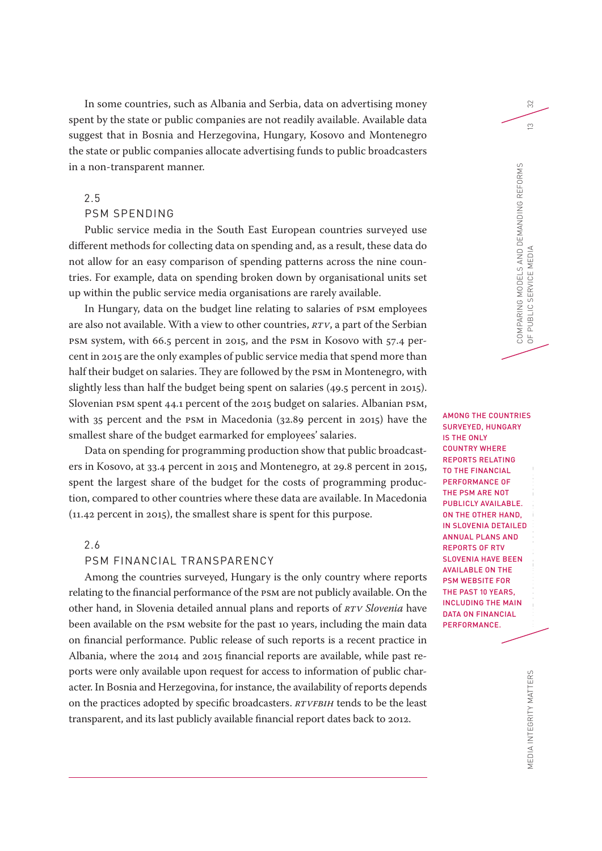In some countries, such as Albania and Serbia, data on advertising money spent by the state or public companies are not readily available. Available data suggest that in Bosnia and Herzegovina, Hungary, Kosovo and Montenegro the state or public companies allocate advertising funds to public broadcasters in a non-transparent manner.

# 2.5

# PSM SPENDING

Public service media in the South East European countries surveyed use different methods for collecting data on spending and, as a result, these data do not allow for an easy comparison of spending patterns across the nine countries. For example, data on spending broken down by organisational units set up within the public service media organisations are rarely available.

In Hungary, data on the budget line relating to salaries of PSM employees are also not available. With a view to other countries, *RTV*, a part of the Serbian PSM system, with 66.5 percent in 2015, and the PSM in Kosovo with 57.4 percent in 2015 are the only examples of public service media that spend more than half their budget on salaries. They are followed by the PSM in Montenegro, with slightly less than half the budget being spent on salaries (49.5 percent in 2015). Slovenian PSM spent 44.1 percent of the 2015 budget on salaries. Albanian PSM, with 35 percent and the PSM in Macedonia (32.89 percent in 2015) have the smallest share of the budget earmarked for employees' salaries.

Data on spending for programming production show that public broadcasters in Kosovo, at 33.4 percent in 2015 and Montenegro, at 29.8 percent in 2015, spent the largest share of the budget for the costs of programming production, compared to other countries where these data are available. In Macedonia (11.42 percent in 2015), the smallest share is spent for this purpose.

# 2.6

# PSM FINANCIAL TRANSPARENCY

Among the countries surveyed, Hungary is the only country where reports relating to the financial performance of the PSM are not publicly available. On the other hand, in Slovenia detailed annual plans and reports of *RTV Slovenia* have been available on the PSM website for the past 10 years, including the main data on financial performance. Public release of such reports is a recent practice in Albania, where the 2014 and 2015 financial reports are available, while past reports were only available upon request for access to information of public character. In Bosnia and Herzegovina, for instance, the availability of reports depends on the practices adopted by specific broadcasters. *RTVFBiH* tends to be the least transparent, and its last publicly available financial report dates back to 2012.

RING AND GOVERNING MODELS OF THE PUBLIC SERVICE SERVICE MEDIAN MODELS OF THE PUBLIC SERVICE MEDIAN RESIDENCE M<br>In the public service median median median median median median median median median median median median medi<br> AMONG THE COUNTRIES SURVEYED, HUNGARY IS THE ONLY COUNTRY WHERE REPORTS RELATING TO THE FINANCIAL PERFORMANCE OF THE PSM ARE NOT PUBLICLY AVAILABLE. ON THE OTHER HAND, IN SLOVENIA DETAILED ANNUAL PLANS AND REPORTS OF RTV SLOVENIA HAVE BEEN AVAILABLE ON THE PSM WEBSITE FOR THE PAST 10 YEARS, INCLUDING THE MAIN DATA ON FINANCIAL

PERFORMANCE.

COMPARING MODELS AND DEMANDING REFORMS

COMPARING MODELS AND DEMANDING REFORMS<br>OF PUBLIC SERVICE MEDIA

OF PUBLIC SERVICE MEDIA 13

PUBLIC SERVICE MEDIA

32

 $\infty$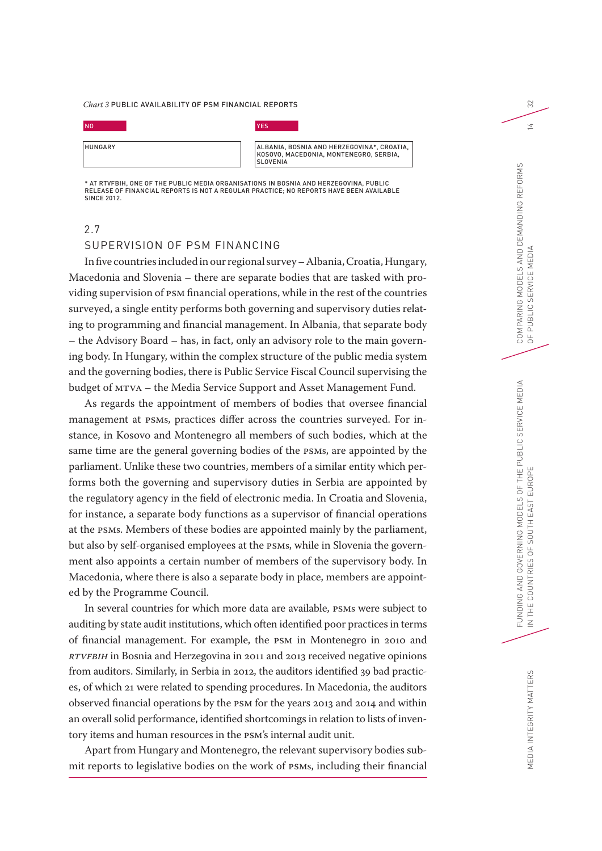#### *Chart 3* PUBLIC AVAILABILITY OF PSM FINANCIAL REPORTS

| <b>NO</b> | YES |
|-----------|-----|
|-----------|-----|

| <b>HUNGARY</b> |  |  |  |
|----------------|--|--|--|
|                |  |  |  |
|                |  |  |  |
|                |  |  |  |

ALBANIA, BOSNIA AND HERZEGOVINA\*, CROATIA, KOSOVO, MACEDONIA, MONTENEGRO, SERBIA, SLOVENIA

\* AT RTVFBIH, ONE OF THE PUBLIC MEDIA ORGANISATIONS IN BOSNIA AND HERZEGOVINA, PUBLIC RELEASE OF FINANCIAL REPORTS IS NOT A REGULAR PRACTICE; NO REPORTS HAVE BEEN AVAILABLE SINCE 2012.

# 2.7

# SUPERVISION OF PSM FINANCING

In five countries included in our regional survey – Albania, Croatia, Hungary, Macedonia and Slovenia – there are separate bodies that are tasked with providing supervision of PSM financial operations, while in the rest of the countries surveyed, a single entity performs both governing and supervisory duties relating to programming and financial management. In Albania, that separate body – the Advisory Board – has, in fact, only an advisory role to the main governing body. In Hungary, within the complex structure of the public media system and the governing bodies, there is Public Service Fiscal Council supervising the budget of MTVA – the Media Service Support and Asset Management Fund.

As regards the appointment of members of bodies that oversee financial management at PSMs, practices differ across the countries surveyed. For instance, in Kosovo and Montenegro all members of such bodies, which at the same time are the general governing bodies of the PSMs, are appointed by the parliament. Unlike these two countries, members of a similar entity which performs both the governing and supervisory duties in Serbia are appointed by the regulatory agency in the field of electronic media. In Croatia and Slovenia, for instance, a separate body functions as a supervisor of financial operations at the PSMs. Members of these bodies are appointed mainly by the parliament, but also by self-organised employees at the PSMs, while in Slovenia the government also appoints a certain number of members of the supervisory body. In Macedonia, where there is also a separate body in place, members are appointed by the Programme Council.

In several countries for which more data are available, PSMs were subject to auditing by state audit institutions, which often identified poor practices in terms of financial management. For example, the PSM in Montenegro in 2010 and *RTVFBiH* in Bosnia and Herzegovina in 2011 and 2013 received negative opinions from auditors. Similarly, in Serbia in 2012, the auditors identified 39 bad practices, of which 21 were related to spending procedures. In Macedonia, the auditors observed financial operations by the PSM for the years 2013 and 2014 and within an overall solid performance, identified shortcomings in relation to lists of inventory items and human resources in the PSM's internal audit unit.

Apart from Hungary and Montenegro, the relevant supervisory bodies submit reports to legislative bodies on the work of PSMs, including their financial 32

 $\overline{a}$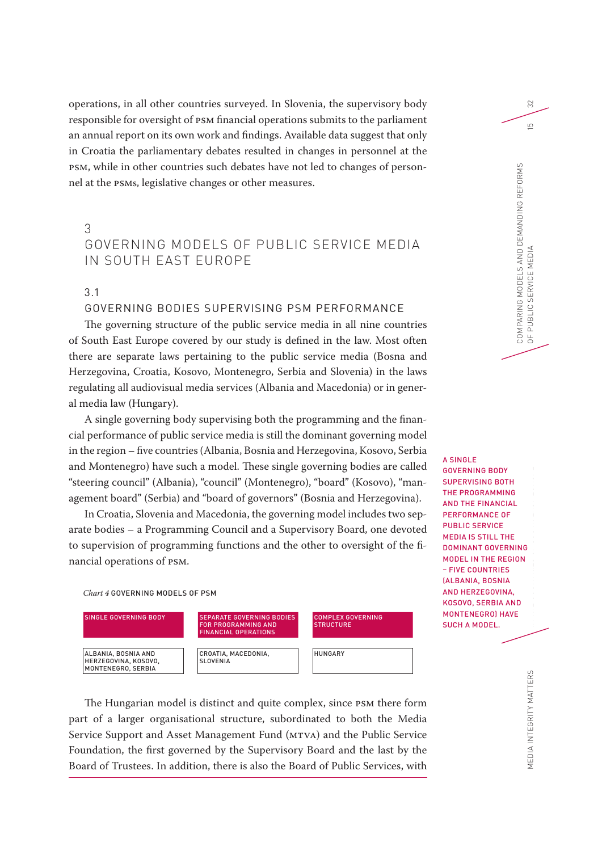operations, in all other countries surveyed. In Slovenia, the supervisory body responsible for oversight of PSM financial operations submits to the parliament an annual report on its own work and findings. Available data suggest that only in Croatia the parliamentary debates resulted in changes in personnel at the PSM, while in other countries such debates have not led to changes of personnel at the PSMs, legislative changes or other measures.

# 3

# GOVERNING MODELS OF PUBLIC SERVICE MEDIA IN SOUTH EAST EUROPE

# 3.1

# GOVERNING BODIES SUPERVISING PSM PERFORMANCE

The governing structure of the public service media in all nine countries of South East Europe covered by our study is defined in the law. Most often there are separate laws pertaining to the public service media (Bosna and Herzegovina, Croatia, Kosovo, Montenegro, Serbia and Slovenia) in the laws regulating all audiovisual media services (Albania and Macedonia) or in general media law (Hungary).

A single governing body supervising both the programming and the financial performance of public service media is still the dominant governing model in the region – five countries (Albania, Bosnia and Herzegovina, Kosovo, Serbia and Montenegro) have such a model. These single governing bodies are called "steering council" (Albania), "council" (Montenegro), "board" (Kosovo), "management board" (Serbia) and "board of governors" (Bosnia and Herzegovina).

In Croatia, Slovenia and Macedonia, the governing model includes two separate bodies – a Programming Council and a Supervisory Board, one devoted to supervision of programming functions and the other to oversight of the financial operations of PSM.

*Chart 4* GOVERNING MODELS OF PSM



The Hungarian model is distinct and quite complex, since PSM there form part of a larger organisational structure, subordinated to both the Media Service Support and Asset Management Fund (MTVA) and the Public Service Foundation, the first governed by the Supervisory Board and the last by the Board of Trustees. In addition, there is also the Board of Public Services, with

Funding and the public service of the public service of the public service  $\mathbf{D}$  is the public service of the public service  $\mathbf{D}$ A SINGLE GOVERNING BODY SUPERVISING BOTH THE PROGRAMMING AND THE FINANCIAL PERFORMANCE OF PUBLIC SERVICE MEDIA IS STILL THE DOMINANT GOVERNING MODEL IN THE REGION – FIVE COUNTRIES (ALBANIA, BOSNIA AND HERZEGOVINA, KOSOVO, SERBIA AND MONTENEGRO) HAVE SUCH A MODEL.

IN THE COUNTRIES OF SOUTH EAST EUROPE

COMPARING MODELS AND DEMANDING REFORMS

COMPARING MODELS AND DEMANDING REFORMS<br>OF PUBLIC SERVICE MEDIA

OF PUBLIC SERVICE MEDIA 15

32

 $\overline{L}$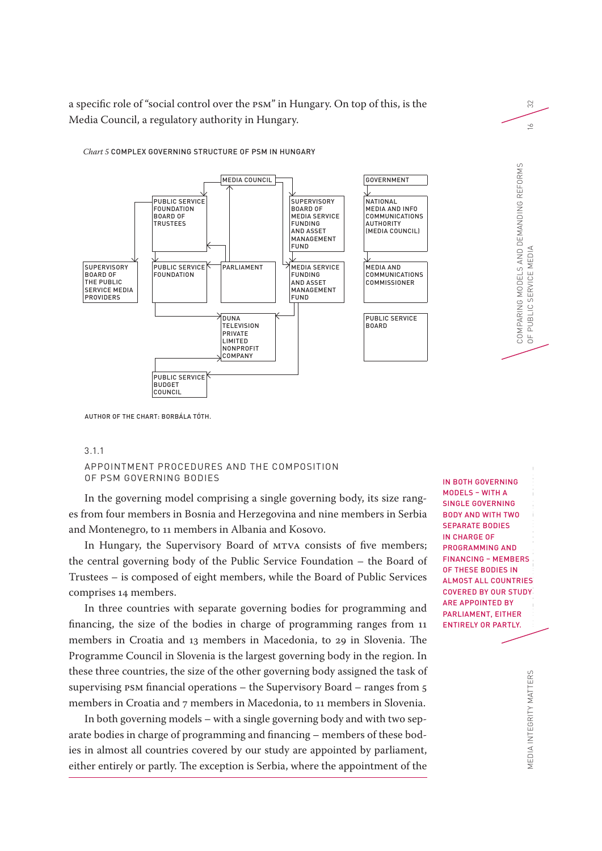a specific role of "social control over the PSM" in Hungary. On top of this, is the Media Council, a regulatory authority in Hungary.



*Chart 5* COMPLEX GOVERNING STRUCTURE OF PSM IN HUNGARY

AUTHOR OF THE CHART: BORBÁLA TÓTH.

#### 3.1.1

# APPOINTMENT PROCEDURES AND THE COMPOSITION OF PSM GOVERNING BODIES

In the governing model comprising a single governing body, its size ranges from four members in Bosnia and Herzegovina and nine members in Serbia and Montenegro, to 11 members in Albania and Kosovo.

In Hungary, the Supervisory Board of MTVA consists of five members; the central governing body of the Public Service Foundation – the Board of Trustees – is composed of eight members, while the Board of Public Services comprises 14 members.

In three countries with separate governing bodies for programming and financing, the size of the bodies in charge of programming ranges from 11 members in Croatia and 13 members in Macedonia, to 29 in Slovenia. The Programme Council in Slovenia is the largest governing body in the region. In these three countries, the size of the other governing body assigned the task of supervising PSM financial operations – the Supervisory Board – ranges from 5 members in Croatia and 7 members in Macedonia, to 11 members in Slovenia.

In both governing models – with a single governing body and with two separate bodies in charge of programming and financing – members of these bodies in almost all countries covered by our study are appointed by parliament, either entirely or partly. The exception is Serbia, where the appointment of the

FUNDING AND GOVERNING MODELS OF THE PUBLIC SERVICE MEDIAN ROOMS OF THE PUBLIC SERVICE MEDIAN ROOMS AND RESPONSITION AND RESPONSITION AND RESPONSITION AND RESPONSITION AND RESPONSITION ASSOCIATION AND RESPONSITION ASSOCIATI IN THE COUNTRIES OF SOUTH EAST AGT AND THE COUNTRIES OF SOUTH EAST AND ALL ALCOHOL THE COUNTRIES OF SOUTH EAST AND ALL ALCOHOL THE COUNTRIES OF SOUND ALL ALCOHOL THE COUNTRIES OF SOUND ALL ALCOHOL THE COUNTRIES OF SOUND AL IN BOTH GOVERNING MODELS – WITH A SINGLE GOVERNING BODY AND WITH TWO SEPARATE BODIES IN CHARGE OF PROGRAMMING AND FINANCING – MEMBERS OF THESE BODIES IN ALMOST ALL COUNTRIES COVERED BY OUR STUDY ARE APPOINTED BY PARLIAMENT, EITHER ENTIRELY OR PARTLY.

COMPARING MODELS AND DEMANDING REFORMS

COMPARING MODELS AND DEMANDING REFORMS<br>OF PUBLIC SERVICE MEDIA

OF PUBLIC SERVICE MEDIA 16

32

 $\leq$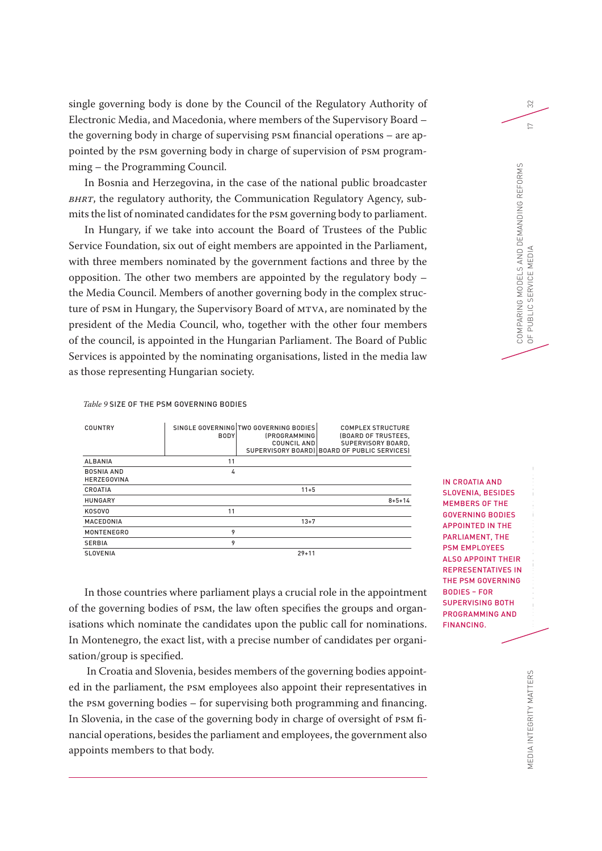single governing body is done by the Council of the Regulatory Authority of Electronic Media, and Macedonia, where members of the Supervisory Board – the governing body in charge of supervising PSM financial operations – are appointed by the PSM governing body in charge of supervision of PSM programming – the Programming Council.

In Bosnia and Herzegovina, in the case of the national public broadcaster *BHRT*, the regulatory authority, the Communication Regulatory Agency, submits the list of nominated candidates for the PSM governing body to parliament.

In Hungary, if we take into account the Board of Trustees of the Public Service Foundation, six out of eight members are appointed in the Parliament, with three members nominated by the government factions and three by the opposition. The other two members are appointed by the regulatory body – the Media Council. Members of another governing body in the complex structure of PSM in Hungary, the Supervisory Board of MTVA, are nominated by the president of the Media Council, who, together with the other four members of the council, is appointed in the Hungarian Parliament. The Board of Public Services is appointed by the nominating organisations, listed in the media law as those representing Hungarian society.

COUNTRY SINGLE GOVERNING TWO GOVERNING BODIES BODY (PROGRAMMING COUNCIL AND SUPERVISORY BOARD) BOARD OF PUBLIC SERVICES) COMPLEX STRUCTURE (BOARD OF TRUSTEES, SUPERVISORY BOARD, ALBANIA 11 BOSNIA AND HERZEGOVINA 4 CROATIA 11+5 HUNGARY 8+5+14 KOSOVO 11 MACEDONIA 13+7 MONTENEGRO 9 SERBIA 9 SLOVENIA 29+11

*Table 9* SIZE OF THE PSM GOVERNING BODIES

In those countries where parliament plays a crucial role in the appointment of the governing bodies of PSM, the law often specifies the groups and organisations which nominate the candidates upon the public call for nominations. In Montenegro, the exact list, with a precise number of candidates per organisation/group is specified.

 In Croatia and Slovenia, besides members of the governing bodies appointed in the parliament, the PSM employees also appoint their representatives in the PSM governing bodies – for supervising both programming and financing. In Slovenia, in the case of the governing body in charge of oversight of PSM financial operations, besides the parliament and employees, the government also appoints members to that body.

FUNDING AND GOVERNING MEDIAN SERVICE MEDIAN SERVICE MEDIAN SERVICE MEDIAN SERVICE MEDIAN SERVICE MEDIAN SERVICE MEDIAN SERVICE MEDIAN SERVICE MEDIAN SERVICE MEDIAN SERVICE MEDIAN SERVICE MEDIAN SERVICE MEDIAN SERVICE MEDIA IN CROATIA AND SLOVENIA, BESIDES MEMBERS OF THE GOVERNING BODIES APPOINTED IN THE PARLIAMENT, THE PSM EMPLOYEES ALSO APPOINT THEIR REPRESENTATIVES IN THE PSM GOVERNING BODIES – FOR SUPERVISING BOTH PROGRAMMING AND FINANCING.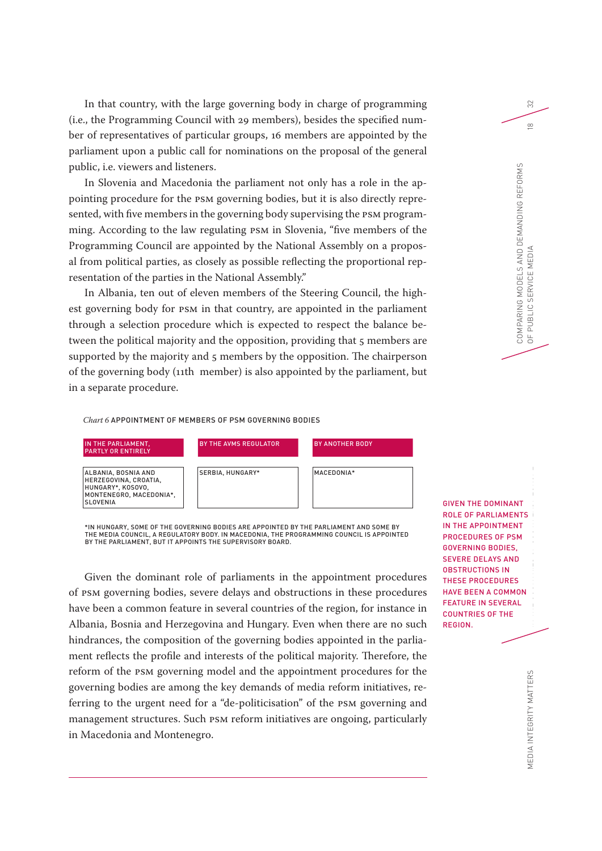In that country, with the large governing body in charge of programming (i.e., the Programming Council with 29 members), besides the specified number of representatives of particular groups, 16 members are appointed by the parliament upon a public call for nominations on the proposal of the general public, i.e. viewers and listeners.

In Slovenia and Macedonia the parliament not only has a role in the appointing procedure for the PSM governing bodies, but it is also directly represented, with five members in the governing body supervising the PSM programming. According to the law regulating PSM in Slovenia, "five members of the Programming Council are appointed by the National Assembly on a proposal from political parties, as closely as possible reflecting the proportional representation of the parties in the National Assembly."

In Albania, ten out of eleven members of the Steering Council, the highest governing body for PSM in that country, are appointed in the parliament through a selection procedure which is expected to respect the balance between the political majority and the opposition, providing that 5 members are supported by the majority and 5 members by the opposition. The chairperson of the governing body (11th member) is also appointed by the parliament, but in a separate procedure.

*Chart 6* APPOINTMENT OF MEMBERS OF PSM GOVERNING BODIES



\*IN HUNGARY, SOME OF THE GOVERNING BODIES ARE APPOINTED BY THE PARLIAMENT AND SOME BY THE MEDIA COUNCIL, A REGULATORY BODY. IN MACEDONIA, THE PROGRAMMING COUNCIL IS APPOINTED BY THE PARLIAMENT, BUT IT APPOINTS THE SUPERVISORY BOARD.

Given the dominant role of parliaments in the appointment procedures of PSM governing bodies, severe delays and obstructions in these procedures have been a common feature in several countries of the region, for instance in Albania, Bosnia and Herzegovina and Hungary. Even when there are no such hindrances, the composition of the governing bodies appointed in the parliament reflects the profile and interests of the political majority. Therefore, the reform of the PSM governing model and the appointment procedures for the governing bodies are among the key demands of media reform initiatives, referring to the urgent need for a "de-politicisation" of the PSM governing and management structures. Such PSM reform initiatives are ongoing, particularly in Macedonia and Montenegro.

FUNDING AND GOVERNING MODELS OF THE PUBLIC SERVICE SERVICE SERVICE SERVICE SERVICE SERVICE SERVICE SERVICE SER<br>The Public Service Service Service Service Service Service Service Service Service Service Service Service Se<br>T GIVEN THE DOMINANT ROLE OF PARLIAMENTS IN THE APPOINTMENT PROCEDURES OF PSM GOVERNING BODIES, SEVERE DELAYS AND OBSTRUCTIONS IN THESE PROCEDURES HAVE BEEN A COMMON FEATURE IN SEVERAL COUNTRIES OF THE REGION.

IN THE COUNTRIES OF SOUTH EAST COUNTRIES OF SOUTH EAST COUNTRIES OF SOUTH EAST COUNTRIES OF SOUTH EAST COUNTRIES OF SOUTH EAST COUNTRIES OF SOUTH EAST COUNTRIES OF SOUTH EAST COUNTRIES OF SOUTH EAST COUNTRIES OF SOUTH EAST

COMPARING MODELS AND DEMANDING REFORMS

COMPARING MODELS AND DEMANDING REFORMS<br>OF PUBLIC SERVICE MEDIA

OF PUBLIC SERVICE MEDIA 18

32

 $\infty$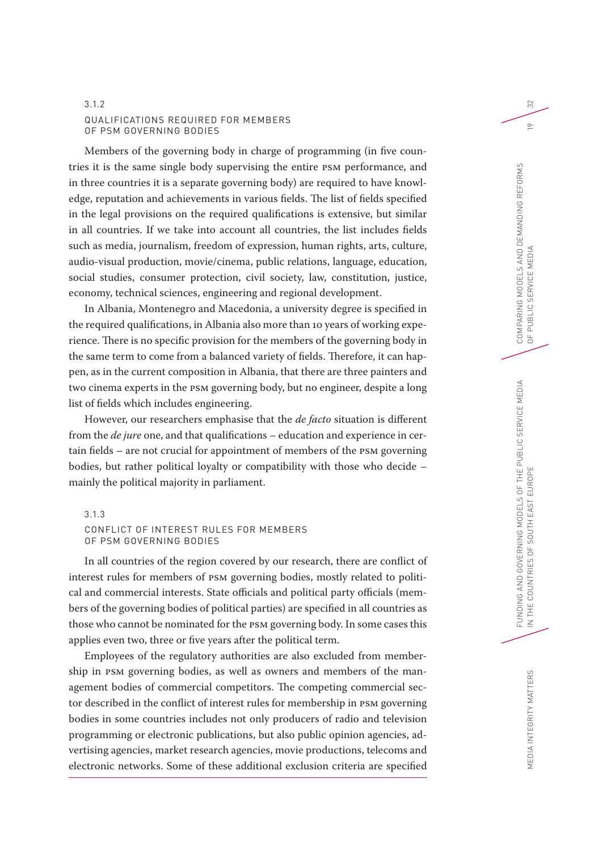# 3.1.2 QUALIFICATIONS REQUIRED FOR MEMBERS OF PSM GOVERNING BODIES

Members of the governing body in charge of programming (in five countries it is the same single body supervising the entire PSM performance, and in three countries it is a separate governing body) are required to have knowledge, reputation and achievements in various fields. The list of fields specified in the legal provisions on the required qualifications is extensive, but similar in all countries. If we take into account all countries, the list includes fields such as media, journalism, freedom of expression, human rights, arts, culture, audio-visual production, movie/cinema, public relations, language, education, social studies, consumer protection, civil society, law, constitution, justice, economy, technical sciences, engineering and regional development.

In Albania, Montenegro and Macedonia, a university degree is specified in the required qualifications, in Albania also more than 10 years of working experience. There is no specific provision for the members of the governing body in the same term to come from a balanced variety of fields. Therefore, it can happen, as in the current composition in Albania, that there are three painters and two cinema experts in the PSM governing body, but no engineer, despite a long list of fields which includes engineering.

However, our researchers emphasise that the *de facto* situation is different from the *de jure* one, and that qualifications – education and experience in certain fields – are not crucial for appointment of members of the PSM governing bodies, but rather political loyalty or compatibility with those who decide – mainly the political majority in parliament.

#### 3.1.3

# CONFLICT OF INTEREST RULES FOR MEMBERS OF PSM GOVERNING BODIES

In all countries of the region covered by our research, there are conflict of interest rules for members of PSM governing bodies, mostly related to political and commercial interests. State officials and political party officials (members of the governing bodies of political parties) are specified in all countries as those who cannot be nominated for the PSM governing body. In some cases this applies even two, three or five years after the political term.

Employees of the regulatory authorities are also excluded from membership in PSM governing bodies, as well as owners and members of the management bodies of commercial competitors. The competing commercial sector described in the conflict of interest rules for membership in PSM governing bodies in some countries includes not only producers of radio and television programming or electronic publications, but also public opinion agencies, advertising agencies, market research agencies, movie productions, telecoms and electronic networks. Some of these additional exclusion criteria are specified

 $\approx$ 

 $\approx$ 

MEDIA INTEGRITY MATTERS

MEDIA INTEGRITY MATTERS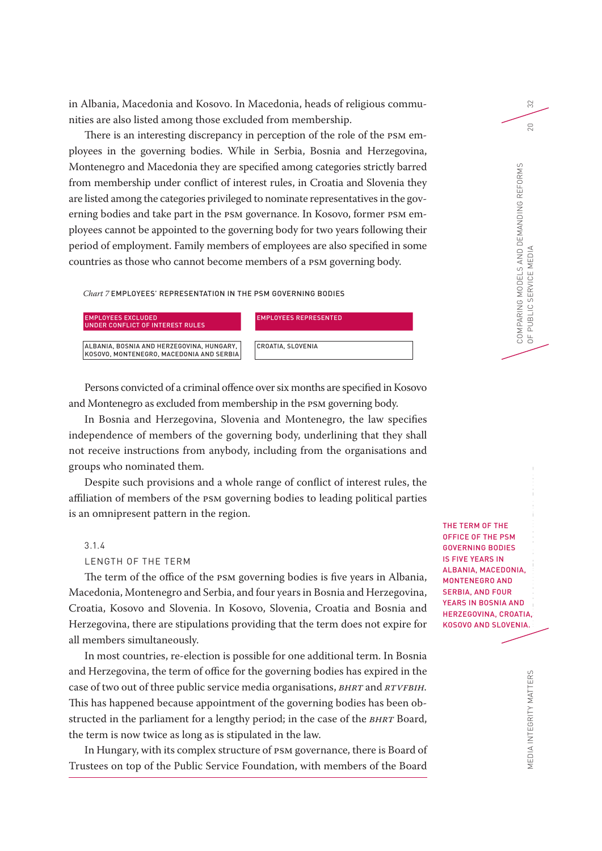in Albania, Macedonia and Kosovo. In Macedonia, heads of religious communities are also listed among those excluded from membership.

There is an interesting discrepancy in perception of the role of the PSM employees in the governing bodies. While in Serbia, Bosnia and Herzegovina, Montenegro and Macedonia they are specified among categories strictly barred from membership under conflict of interest rules, in Croatia and Slovenia they are listed among the categories privileged to nominate representatives in the governing bodies and take part in the PSM governance. In Kosovo, former PSM employees cannot be appointed to the governing body for two years following their period of employment. Family members of employees are also specified in some countries as those who cannot become members of a PSM governing body.

*Chart 7* EMPLOYEES' REPRESENTATION IN THE PSM GOVERNING BODIES

| EMPLOYEES EXCLUDED<br>UNDER CONFLICT OF INTEREST RULES | <b>IEMPLOYEES REPRESENTED</b> |
|--------------------------------------------------------|-------------------------------|
| ALBANIA. BOSNIA AND HERZEGOVINA. HUNGARY.              | <b>CROATIA, SLOVENIA</b>      |
| KOSOVO, MONTENEGRO, MACEDONIA AND SERBIA               |                               |

Persons convicted of a criminal offence over six months are specified in Kosovo and Montenegro as excluded from membership in the PSM governing body.

In Bosnia and Herzegovina, Slovenia and Montenegro, the law specifies independence of members of the governing body, underlining that they shall not receive instructions from anybody, including from the organisations and groups who nominated them.

Despite such provisions and a whole range of conflict of interest rules, the affiliation of members of the PSM governing bodies to leading political parties is an omnipresent pattern in the region.

#### 3.1.4

LENGTH OF THE TERM

The term of the office of the PSM governing bodies is five years in Albania, Macedonia, Montenegro and Serbia, and four years in Bosnia and Herzegovina, Croatia, Kosovo and Slovenia. In Kosovo, Slovenia, Croatia and Bosnia and Herzegovina, there are stipulations providing that the term does not expire for all members simultaneously.

In most countries, re-election is possible for one additional term. In Bosnia and Herzegovina, the term of office for the governing bodies has expired in the case of two out of three public service media organisations, *BHRT* and *RTVFBiH.* This has happened because appointment of the governing bodies has been obstructed in the parliament for a lengthy period; in the case of the *BHRT* Board, the term is now twice as long as is stipulated in the law.

In Hungary, with its complex structure of PSM governance, there is Board of Trustees on top of the Public Service Foundation, with members of the Board

FUNDING AND GOVERNING MODELS OF THE PUBLIC SERVICE MEDIA  $\frac{1}{1}$ THE TERM OF THE OFFICE OF THE PSM GOVERNING BODIES IS FIVE YEARS IN ALBANIA, MACEDONIA, MONTENEGRO AND SERBIA, AND FOUR YEARS IN BOSNIA AND HERZEGOVINA, CROATIA, KOSOVO AND SLOVENIA.

COMPARING MODELS AND DEMANDING REFORMS

COMPARING MODELS AND DEMANDING REFORMS<br>OF PUBLIC SERVICE MEDIA

OF PUBLIC SERVICE MEDIA 20

32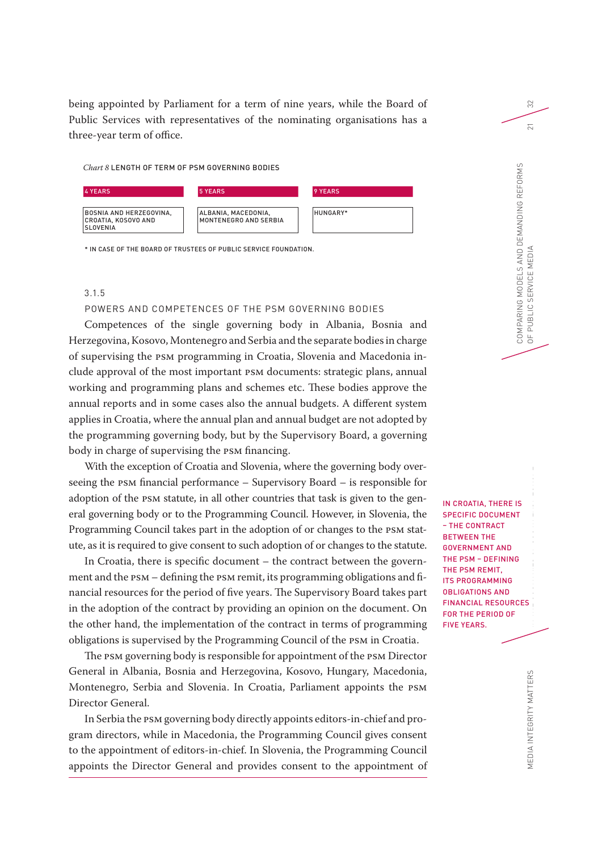being appointed by Parliament for a term of nine years, while the Board of Public Services with representatives of the nominating organisations has a three-year term of office.

#### *Chart 8* LENGTH OF TERM OF PSM GOVERNING BODIES



\* IN CASE OF THE BOARD OF TRUSTEES OF PUBLIC SERVICE FOUNDATION.

# 3.1.5

### POWERS AND COMPETENCES OF THE PSM GOVERNING BODIES

Competences of the single governing body in Albania, Bosnia and Herzegovina, Kosovo, Montenegro and Serbia and the separate bodies in charge of supervising the PSM programming in Croatia, Slovenia and Macedonia include approval of the most important PSM documents: strategic plans, annual working and programming plans and schemes etc. These bodies approve the annual reports and in some cases also the annual budgets. A different system applies in Croatia, where the annual plan and annual budget are not adopted by the programming governing body, but by the Supervisory Board, a governing body in charge of supervising the PSM financing.

With the exception of Croatia and Slovenia, where the governing body overseeing the PSM financial performance – Supervisory Board – is responsible for adoption of the PSM statute, in all other countries that task is given to the general governing body or to the Programming Council. However, in Slovenia, the Programming Council takes part in the adoption of or changes to the PSM statute, as it is required to give consent to such adoption of or changes to the statute.

In Croatia, there is specific document – the contract between the government and the PSM – defining the PSM remit, its programming obligations and financial resources for the period of five years. The Supervisory Board takes part in the adoption of the contract by providing an opinion on the document. On the other hand, the implementation of the contract in terms of programming obligations is supervised by the Programming Council of the PSM in Croatia.

The PSM governing body is responsible for appointment of the PSM Director General in Albania, Bosnia and Herzegovina, Kosovo, Hungary, Macedonia, Montenegro, Serbia and Slovenia. In Croatia, Parliament appoints the PSM Director General.

In Serbia the PSM governing body directly appoints editors-in-chief and program directors, while in Macedonia, the Programming Council gives consent to the appointment of editors-in-chief. In Slovenia, the Programming Council appoints the Director General and provides consent to the appointment of

IS<br>T<br>Cl IN CROATIA, THERE IS SPECIFIC DOCUMENT – THE CONTRACT BETWEEN THE GOVERNMENT AND THE PSM – DEFINING THE PSM REMIT, ITS PROGRAMMING OBLIGATIONS AND FINANCIAL RESOURCES FOR THE PERIOD OF FIVE YEARS.

IN THE COUNTRIES OF SOUTH EAST 2000

COMPARING MODELS AND DEMANDING REFORMS

COMPARING MODELS AND DEMANDING REFORMS<br>OF PUBLIC SERVICE MEDIA

OF PUBLIC SERVICE MEDIA 21

PUBLIC SERVICE MEDIA

32

 $\overline{2}1$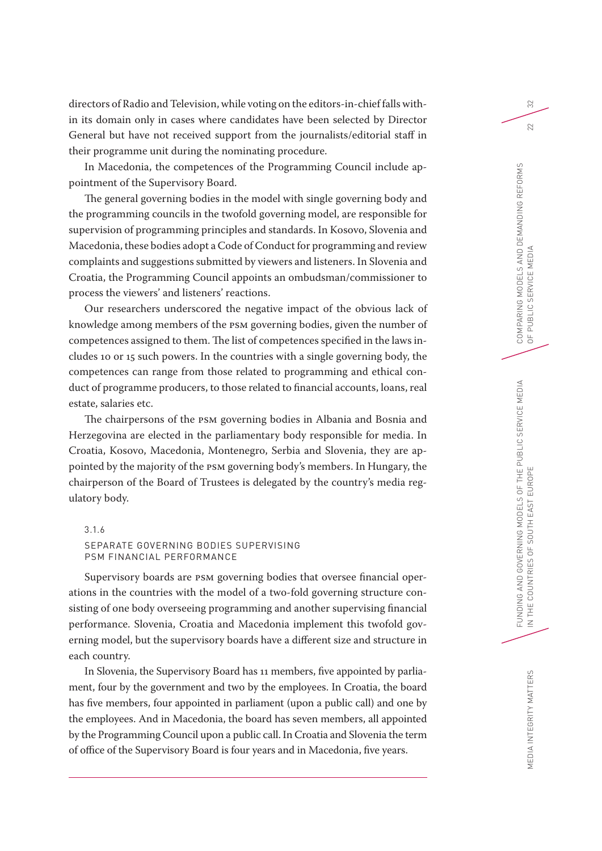directors of Radio and Television, while voting on the editors-in-chief falls within its domain only in cases where candidates have been selected by Director General but have not received support from the journalists/editorial staff in their programme unit during the nominating procedure.

In Macedonia, the competences of the Programming Council include appointment of the Supervisory Board.

The general governing bodies in the model with single governing body and the programming councils in the twofold governing model, are responsible for supervision of programming principles and standards. In Kosovo, Slovenia and Macedonia, these bodies adopt a Code of Conduct for programming and review complaints and suggestions submitted by viewers and listeners. In Slovenia and Croatia, the Programming Council appoints an ombudsman/commissioner to process the viewers' and listeners' reactions.

Our researchers underscored the negative impact of the obvious lack of knowledge among members of the PSM governing bodies, given the number of competences assigned to them. The list of competences specified in the laws includes 10 or 15 such powers. In the countries with a single governing body, the competences can range from those related to programming and ethical conduct of programme producers, to those related to financial accounts, loans, real estate, salaries etc.

The chairpersons of the PSM governing bodies in Albania and Bosnia and Herzegovina are elected in the parliamentary body responsible for media. In Croatia, Kosovo, Macedonia, Montenegro, Serbia and Slovenia, they are appointed by the majority of the PSM governing body's members. In Hungary, the chairperson of the Board of Trustees is delegated by the country's media regulatory body.

# 3.1.6

# SEPARATE GOVERNING BODIES SUPERVISING PSM FINANCIAL PERFORMANCE

Supervisory boards are PSM governing bodies that oversee financial operations in the countries with the model of a two-fold governing structure consisting of one body overseeing programming and another supervising financial performance. Slovenia, Croatia and Macedonia implement this twofold governing model, but the supervisory boards have a different size and structure in each country.

In Slovenia, the Supervisory Board has 11 members, five appointed by parliament, four by the government and two by the employees. In Croatia, the board has five members, four appointed in parliament (upon a public call) and one by the employees. And in Macedonia, the board has seven members, all appointed by the Programming Council upon a public call. In Croatia and Slovenia the term of office of the Supervisory Board is four years and in Macedonia, five years.

 $\approx$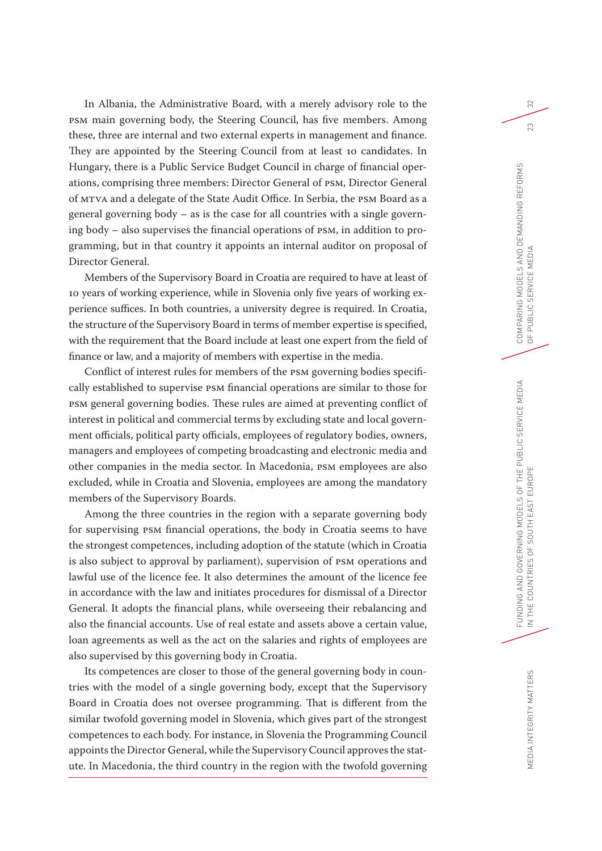In Albania, the Administrative Board, with a merely advisory role to the PSM main governing body, the Steering Council, has five members. Among these, three are internal and two external experts in management and finance. They are appointed by the Steering Council from at least 10 candidates. In Hungary, there is a Public Service Budget Council in charge of financial operations, comprising three members: Director General of PSM, Director General of MTVA and a delegate of the State Audit Office. In Serbia, the PSM Board as a general governing body – as is the case for all countries with a single governing body – also supervises the financial operations of PSM, in addition to programming, but in that country it appoints an internal auditor on proposal of Director General.

Members of the Supervisory Board in Croatia are required to have at least of 10 years of working experience, while in Slovenia only five years of working experience suffices. In both countries, a university degree is required. In Croatia, the structure of the Supervisory Board in terms of member expertise is specified, with the requirement that the Board include at least one expert from the field of finance or law, and a majority of members with expertise in the media.

Conflict of interest rules for members of the PSM governing bodies specifically established to supervise PSM financial operations are similar to those for PSM general governing bodies. These rules are aimed at preventing conflict of interest in political and commercial terms by excluding state and local government officials, political party officials, employees of regulatory bodies, owners, managers and employees of competing broadcasting and electronic media and other companies in the media sector. In Macedonia, PSM employees are also excluded, while in Croatia and Slovenia, employees are among the mandatory members of the Supervisory Boards.

Among the three countries in the region with a separate governing body for supervising PSM financial operations, the body in Croatia seems to have the strongest competences, including adoption of the statute (which in Croatia is also subject to approval by parliament), supervision of PSM operations and lawful use of the licence fee. It also determines the amount of the licence fee in accordance with the law and initiates procedures for dismissal of a Director General. It adopts the financial plans, while overseeing their rebalancing and also the financial accounts. Use of real estate and assets above a certain value, loan agreements as well as the act on the salaries and rights of employees are also supervised by this governing body in Croatia.

Its competences are closer to those of the general governing body in countries with the model of a single governing body, except that the Supervisory Board in Croatia does not oversee programming. That is different from the similar twofold governing model in Slovenia, which gives part of the strongest competences to each body. For instance, in Slovenia the Programming Council appoints the Director General, while the Supervisory Council approves the statute. In Macedonia, the third country in the region with the twofold governing  $\approx$ 

23

MEDIA INTEGRITY MATTERS MEDIA INTEGRITY MATTERS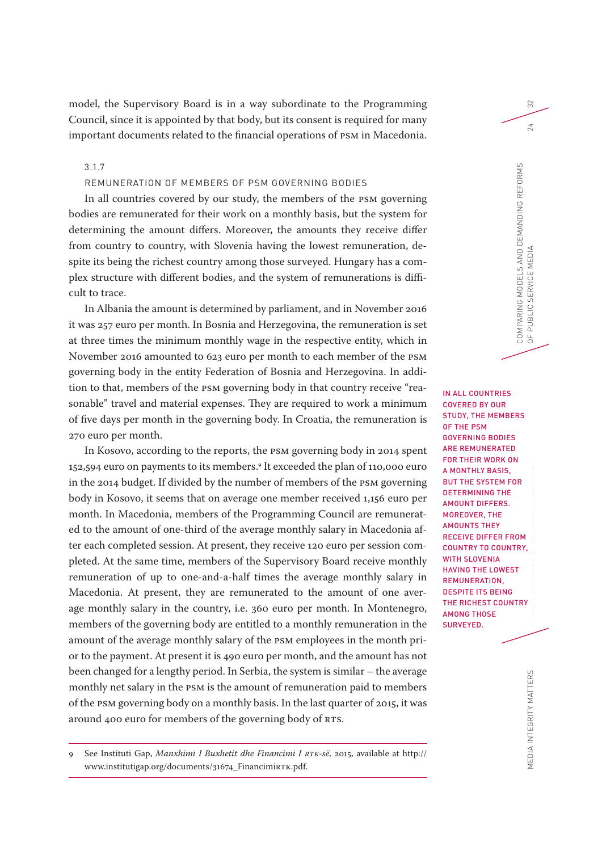model, the Supervisory Board is in a way subordinate to the Programming Council, since it is appointed by that body, but its consent is required for many important documents related to the financial operations of PSM in Macedonia.

3.1.7

# REMUNERATION OF MEMBERS OF PSM GOVERNING BODIES

In all countries covered by our study, the members of the PSM governing bodies are remunerated for their work on a monthly basis, but the system for determining the amount differs. Moreover, the amounts they receive differ from country to country, with Slovenia having the lowest remuneration, despite its being the richest country among those surveyed. Hungary has a complex structure with different bodies, and the system of remunerations is difficult to trace.

In Albania the amount is determined by parliament, and in November 2016 it was 257 euro per month. In Bosnia and Herzegovina, the remuneration is set at three times the minimum monthly wage in the respective entity, which in November 2016 amounted to 623 euro per month to each member of the PSM governing body in the entity Federation of Bosnia and Herzegovina. In addition to that, members of the PSM governing body in that country receive "reasonable" travel and material expenses. They are required to work a minimum of five days per month in the governing body. In Croatia, the remuneration is 270 euro per month.

In Kosovo, according to the reports, the PSM governing body in 2014 spent 152,594 euro on payments to its members.9 It exceeded the plan of 110,000 euro in the 2014 budget. If divided by the number of members of the PSM governing body in Kosovo, it seems that on average one member received 1,156 euro per month. In Macedonia, members of the Programming Council are remunerated to the amount of one-third of the average monthly salary in Macedonia after each completed session. At present, they receive 120 euro per session completed. At the same time, members of the Supervisory Board receive monthly remuneration of up to one-and-a-half times the average monthly salary in Macedonia. At present, they are remunerated to the amount of one average monthly salary in the country, i.e. 360 euro per month. In Montenegro, members of the governing body are entitled to a monthly remuneration in the amount of the average monthly salary of the PSM employees in the month prior to the payment. At present it is 490 euro per month, and the amount has not been changed for a lengthy period. In Serbia, the system is similar – the average monthly net salary in the PSM is the amount of remuneration paid to members of the PSM governing body on a monthly basis. In the last quarter of 2015, it was around 400 euro for members of the governing body of RTS.

RS<br>|<br>| R<br>| T<br>| T IN THE COUNTRIES OF SOUTH EAST EUROPE IN ALL COUNTRIES COVERED BY OUR STUDY, THE MEMBERS OF THE PSM GOVERNING BODIES ARE REMUNERATED FOR THEIR WORK ON A MONTHLY BASIS, BUT THE SYSTEM FOR DETERMINING THE AMOUNT DIFFERS. MOREOVER, THE AMOUNTS THEY RECEIVE DIFFER FROM COUNTRY TO COUNTRY, WITH SLOVENIA HAVING THE LOWEST REMUNERATION, DESPITE ITS BEING THE RICHEST COUNTRY AMONG THOSE SURVEYED.

COMPARING MODELS AND DEMANDING REFORMS

COMPARING MODELS AND DEMANDING REFORMS<br>OF PUBLIC SERVICE MEDIA

OF PUBLIC SERVICE MEDIA 24

PUBLIC SERVICE MEDIA

32

<sup>9</sup> See Instituti Gap, *Manxhimi I Buxhetit dhe Financimi I RTK-së*, 2015, available at http:// www.institutigap.org/documents/31674\_FinancimiRTK.pdf.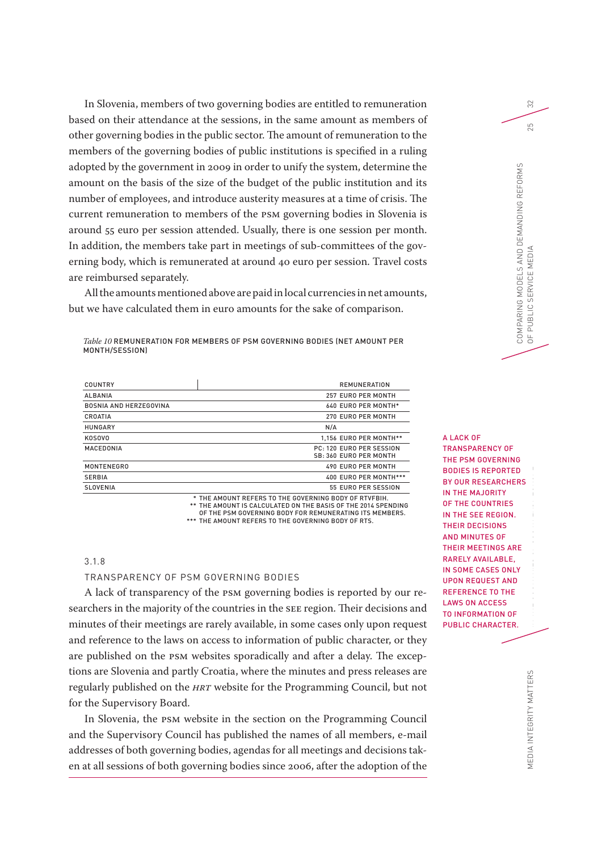In Slovenia, members of two governing bodies are entitled to remuneration based on their attendance at the sessions, in the same amount as members of other governing bodies in the public sector. The amount of remuneration to the members of the governing bodies of public institutions is specified in a ruling adopted by the government in 2009 in order to unify the system, determine the amount on the basis of the size of the budget of the public institution and its number of employees, and introduce austerity measures at a time of crisis. The current remuneration to members of the PSM governing bodies in Slovenia is around 55 euro per session attended. Usually, there is one session per month. In addition, the members take part in meetings of sub-committees of the governing body, which is remunerated at around 40 euro per session. Travel costs are reimbursed separately.

All the amounts mentioned above are paid in local currencies in net amounts, but we have calculated them in euro amounts for the sake of comparison.

*Table 10* REMUNERATION FOR MEMBERS OF PSM GOVERNING BODIES (NET AMOUNT PER MONTH/SESSION)

| COUNTRY                       | <b>REMUNERATION</b>                                |
|-------------------------------|----------------------------------------------------|
| <b>ALBANIA</b>                | 257 EURO PER MONTH                                 |
| <b>BOSNIA AND HERZEGOVINA</b> | <b>640 EURO PER MONTH*</b>                         |
| CROATIA                       | 270 EURO PER MONTH                                 |
| <b>HUNGARY</b>                | N/A                                                |
| KOSOVO                        | 1.156 EURO PER MONTH**                             |
| MACEDONIA                     | PC: 120 EURO PER SESSION<br>SB: 360 EURO PER MONTH |
| <b>MONTENEGRO</b>             | 490 EURO PER MONTH                                 |
| <b>SERBIA</b>                 | 400 EURO PER MONTH ***                             |
| SLOVENIA                      | 55 EURO PER SESSION                                |

\* \*\* THE AMOUNT IS CALCULATED ON THE BASIS OF THE 2014 SPENDING \*\*\* THE AMOUNT REFERS TO THE GOVERNING BODY OF RTS. THE AMOUNT REFERS TO THE GOVERNING BODY OF RTVFBIH. OF THE PSM GOVERNING BODY FOR REMUNERATING ITS MEMBERS.

### 3.1.8

#### TRANSPARENCY OF PSM GOVERNING BODIES

A lack of transparency of the PSM governing bodies is reported by our researchers in the majority of the countries in the SEE region. Their decisions and minutes of their meetings are rarely available, in some cases only upon request and reference to the laws on access to information of public character, or they are published on the PSM websites sporadically and after a delay. The exceptions are Slovenia and partly Croatia, where the minutes and press releases are regularly published on the *HRT* website for the Programming Council, but not for the Supervisory Board.

In Slovenia, the PSM website in the section on the Programming Council and the Supervisory Council has published the names of all members, e-mail addresses of both governing bodies, agendas for all meetings and decisions taken at all sessions of both governing bodies since 2006, after the adoption of the

GDDR<br>FUNDING MODELS OF THE PUBLIC SERVICE MEDIAN SERVICE MEDIAN SERVICE MEDIAN SERVICE MEDIAN SERVICE MEDIAN SERVICE M A LACK OF TRANSPARENCY OF THE PSM GOVERNING BODIES IS REPORTED BY OUR RESEARCHERS IN THE MAJORITY OF THE COUNTRIES IN THE SEE REGION. THEIR DECISIONS AND MINUTES OF THEIR MEETINGS ARE RARELY AVAILABLE, IN SOME CASES ONLY UPON REQUEST AND REFERENCE TO THE LAWS ON ACCESS TO INFORMATION OF PUBLIC CHARACTER.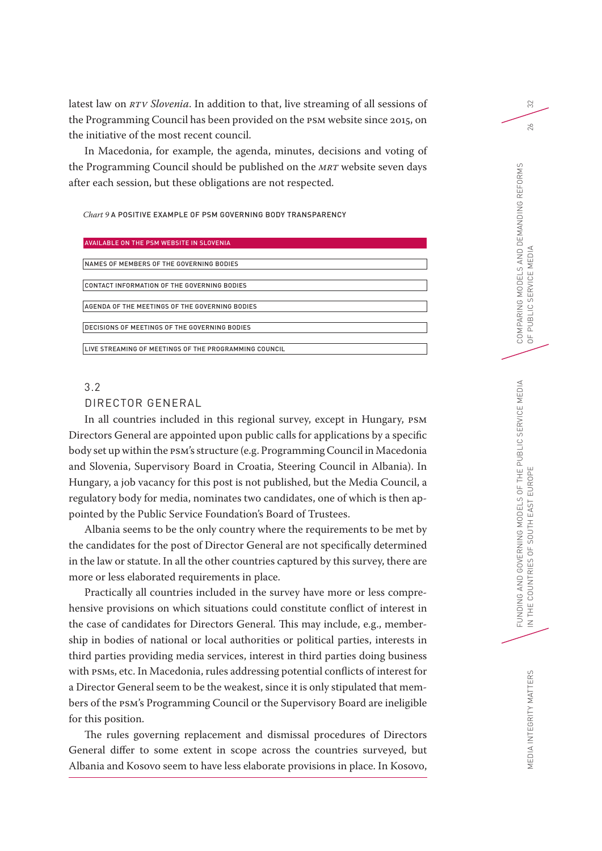latest law on *RTV Slovenia*. In addition to that, live streaming of all sessions of the Programming Council has been provided on the PSM website since 2015, on the initiative of the most recent council.

In Macedonia, for example, the agenda, minutes, decisions and voting of the Programming Council should be published on the *MRT* website seven days after each session, but these obligations are not respected.

*Chart 9* A POSITIVE EXAMPLE OF PSM GOVERNING BODY TRANSPARENCY

#### AVAILABLE ON THE PSM WEBSITE IN SLOVENIA

| NAMES OF MEMBERS OF THE GOVERNING BODIES               |
|--------------------------------------------------------|
|                                                        |
| CONTACT INFORMATION OF THE GOVERNING BODIES            |
|                                                        |
| AGENDA OF THE MEETINGS OF THE GOVERNING BODIES         |
|                                                        |
| DECISIONS OF MEETINGS OF THE GOVERNING BODIES          |
|                                                        |
| LLIVE STREAMING OF MEETINGS OF THE PROGRAMMING COUNCIL |
|                                                        |

# 3.2

# DIRECTOR GENERAL

In all countries included in this regional survey, except in Hungary, PSM Directors General are appointed upon public calls for applications by a specific body set up within the PSM's structure (e.g. Programming Council in Macedonia and Slovenia, Supervisory Board in Croatia, Steering Council in Albania). In Hungary, a job vacancy for this post is not published, but the Media Council, a regulatory body for media, nominates two candidates, one of which is then appointed by the Public Service Foundation's Board of Trustees.

Albania seems to be the only country where the requirements to be met by the candidates for the post of Director General are not specifically determined in the law or statute. In all the other countries captured by this survey, there are more or less elaborated requirements in place.

Practically all countries included in the survey have more or less comprehensive provisions on which situations could constitute conflict of interest in the case of candidates for Directors General. This may include, e.g., membership in bodies of national or local authorities or political parties, interests in third parties providing media services, interest in third parties doing business with PSMs, etc. In Macedonia, rules addressing potential conflicts of interest for a Director General seem to be the weakest, since it is only stipulated that members of the PSM's Programming Council or the Supervisory Board are ineligible for this position.

The rules governing replacement and dismissal procedures of Directors General differ to some extent in scope across the countries surveyed, but Albania and Kosovo seem to have less elaborate provisions in place. In Kosovo,

32

 $26$ 

MEDIA INTEGRITY MATTERS MEDIA INTEGRITY MATTERS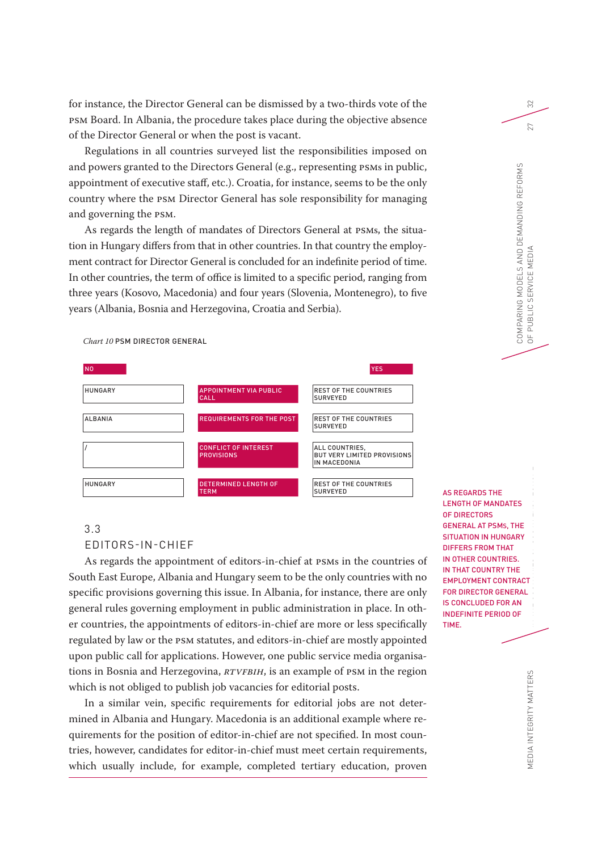for instance, the Director General can be dismissed by a two-thirds vote of the PSM Board. In Albania, the procedure takes place during the objective absence of the Director General or when the post is vacant.

Regulations in all countries surveyed list the responsibilities imposed on and powers granted to the Directors General (e.g., representing PSMs in public, appointment of executive staff, etc.). Croatia, for instance, seems to be the only country where the PSM Director General has sole responsibility for managing and governing the PSM.

As regards the length of mandates of Directors General at PSMs, the situation in Hungary differs from that in other countries. In that country the employment contract for Director General is concluded for an indefinite period of time. In other countries, the term of office is limited to a specific period, ranging from three years (Kosovo, Macedonia) and four years (Slovenia, Montenegro), to five years (Albania, Bosnia and Herzegovina, Croatia and Serbia).

*Chart 10* PSM DIRECTOR GENERAL

| <b>NO</b>      |                                                  | <b>YES</b>                                                           |
|----------------|--------------------------------------------------|----------------------------------------------------------------------|
| <b>HUNGARY</b> | <b>APPOINTMENT VIA PUBLIC</b><br><b>CALL</b>     | <b>REST OF THE COUNTRIES</b><br><b>SURVEYED</b>                      |
| <b>ALBANIA</b> | <b>REQUIREMENTS FOR THE POST</b>                 | <b>REST OF THE COUNTRIES</b><br><b>SURVEYED</b>                      |
|                | <b>CONFLICT OF INTEREST</b><br><b>PROVISIONS</b> | ALL COUNTRIES,<br><b>BUT VERY LIMITED PROVISIONS</b><br>IN MACEDONIA |
| <b>HUNGARY</b> | <b>DETERMINED LENGTH OF</b><br>TERM              | <b>REST OF THE COUNTRIES</b><br><b>SURVEYED</b>                      |

# 3.3

EDITORS-IN-CHIEF

As regards the appointment of editors-in-chief at PSMs in the countries of South East Europe, Albania and Hungary seem to be the only countries with no specific provisions governing this issue. In Albania, for instance, there are only general rules governing employment in public administration in place. In other countries, the appointments of editors-in-chief are more or less specifically regulated by law or the PSM statutes, and editors-in-chief are mostly appointed upon public call for applications. However, one public service media organisations in Bosnia and Herzegovina, *RTVFBiH*, is an example of PSM in the region which is not obliged to publish job vacancies for editorial posts.

In a similar vein, specific requirements for editorial jobs are not determined in Albania and Hungary. Macedonia is an additional example where requirements for the position of editor-in-chief are not specified. In most countries, however, candidates for editor-in-chief must meet certain requirements, which usually include, for example, completed tertiary education, proven

FUNDING AND GOVERNING MODELS OF THE PUBLIC SERVICE SERVICE SERVICE SERVICE SERVICE MEDIAN PLANT SERVICE SERVICE SERVICE SERVICE SERVICE SERVICE SERVICE SERVICE SERVICE SERVICE SERVICE SERVICE SERVICE SERVICE SERVICE SERVIC IN THE COUNTRIES OF SOUTH EAST COUNTRIES OF SOUTH EAST COUNTRIES OF SOUTH EAST COUNTRIES OF SOUTH EAST COUNTRIES AS REGARDS THE LENGTH OF MANDATES OF DIRECTORS GENERAL AT PSMS, THE SITUATION IN HUNGARY DIFFERS FROM THAT IN OTHER COUNTRIES. IN THAT COUNTRY THE EMPLOYMENT CONTRACT FOR DIRECTOR GENERAL IS CONCLUDED FOR AN INDEFINITE PERIOD OF TIME.

COMPARING MODELS AND DEMANDING REFORMS

COMPARING MODELS AND DEMANDING REFORMS<br>OF PUBLIC SERVICE MEDIA

OF PUBLIC SERVICE MEDIA 27

32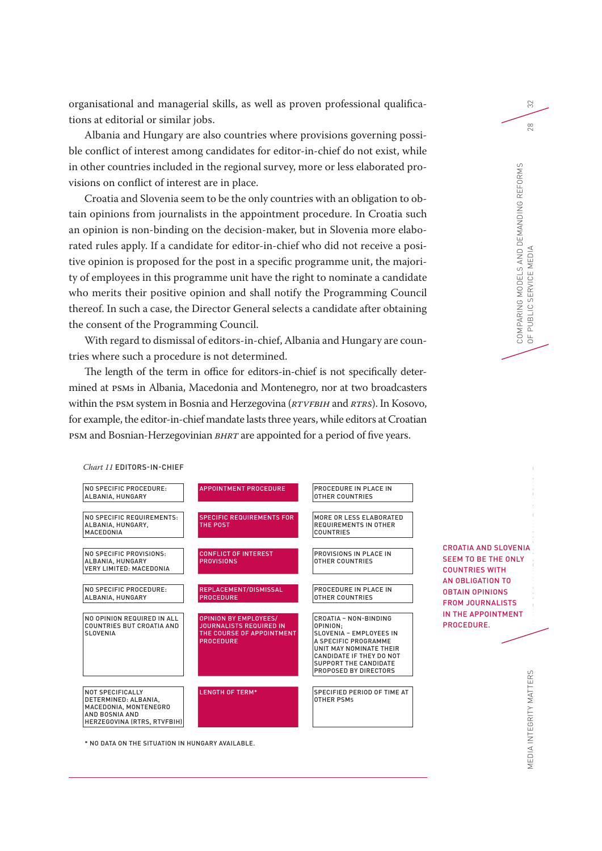organisational and managerial skills, as well as proven professional qualifications at editorial or similar jobs.

Albania and Hungary are also countries where provisions governing possible conflict of interest among candidates for editor-in-chief do not exist, while in other countries included in the regional survey, more or less elaborated provisions on conflict of interest are in place.

Croatia and Slovenia seem to be the only countries with an obligation to obtain opinions from journalists in the appointment procedure. In Croatia such an opinion is non-binding on the decision-maker, but in Slovenia more elaborated rules apply. If a candidate for editor-in-chief who did not receive a positive opinion is proposed for the post in a specific programme unit, the majority of employees in this programme unit have the right to nominate a candidate who merits their positive opinion and shall notify the Programming Council thereof. In such a case, the Director General selects a candidate after obtaining the consent of the Programming Council.

With regard to dismissal of editors-in-chief, Albania and Hungary are countries where such a procedure is not determined.

The length of the term in office for editors-in-chief is not specifically determined at PSMs in Albania, Macedonia and Montenegro, nor at two broadcasters within the PSM system in Bosnia and Herzegovina (*RTVFBiH* and *RTRS*). In Kosovo, for example, the editor-in-chief mandate lasts three years, while editors at Croatian PSM and Bosnian-Herzegovinian *BHRT* are appointed for a period of five years.



*Chart 11* EDITORS-IN-CHIEF

\* NO DATA ON THE SITUATION IN HUNGARY AVAILABLE.

32

FUNDING AND GOVERNMENT SERVICE MEDIAN SERVICE MEDIAN SERVICE MEDIAN SERVICE MEDIAN SERVICE MEDIAN SERVICE MEDI<br>Service median service median service median service median service median service median service median servi

IN THE COUNTRY OF SOUTH EAST COUNTRIES OF SOUTH EAST OF SOUTH EAST OF SOUTH EAST COUNTRIES OF SOUTH EAST OF SOUTH EAST OF SOUTH EAST OF SOUTH EAST COUNTRIES OF SOUTH EAST OF SOUTH EAST OF SOUTH EAST COUNTRIES OF SOUTH EAST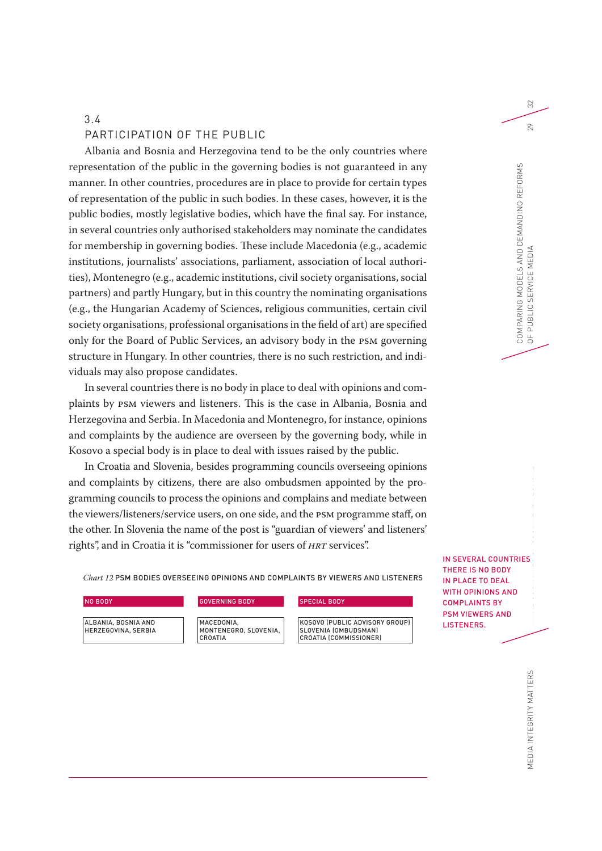# 3.4

# PARTICIPATION OF THE PUBLIC

Albania and Bosnia and Herzegovina tend to be the only countries where representation of the public in the governing bodies is not guaranteed in any manner. In other countries, procedures are in place to provide for certain types of representation of the public in such bodies. In these cases, however, it is the public bodies, mostly legislative bodies, which have the final say. For instance, in several countries only authorised stakeholders may nominate the candidates for membership in governing bodies. These include Macedonia (e.g., academic institutions, journalists' associations, parliament, association of local authorities), Montenegro (e.g., academic institutions, civil society organisations, social partners) and partly Hungary, but in this country the nominating organisations (e.g., the Hungarian Academy of Sciences, religious communities, certain civil society organisations, professional organisations in the field of art) are specified only for the Board of Public Services, an advisory body in the PSM governing structure in Hungary. In other countries, there is no such restriction, and individuals may also propose candidates.

In several countries there is no body in place to deal with opinions and complaints by PSM viewers and listeners. This is the case in Albania, Bosnia and Herzegovina and Serbia. In Macedonia and Montenegro, for instance, opinions and complaints by the audience are overseen by the governing body, while in Kosovo a special body is in place to deal with issues raised by the public.

In Croatia and Slovenia, besides programming councils overseeing opinions and complaints by citizens, there are also ombudsmen appointed by the programming councils to process the opinions and complains and mediate between the viewers/listeners/service users, on one side, and the PSM programme staff, on the other. In Slovenia the name of the post is "guardian of viewers' and listeners' rights", and in Croatia it is "commissioner for users of *HRT* services".

*Chart 12* PSM BODIES OVERSEEING OPINIONS AND COMPLAINTS BY VIEWERS AND LISTENERS

| NO BODY                                           | <b>GOVERNING BODY</b>                                 | <b>SPECIAL BODY</b>                                                                     |
|---------------------------------------------------|-------------------------------------------------------|-----------------------------------------------------------------------------------------|
| ALBANIA. BOSNIA AND<br><b>HERZEGOVINA, SERBIA</b> | MACEDONIA.<br>MONTENEGRO. SLOVENIA.<br><b>CROATIA</b> | KOSOVO (PUBLIC ADVISORY GROUP)<br><b>SLOVENIA (OMBUDSMAN)</b><br>CROATIA (COMMISSIONER) |

 $\Im$ 

FUNDING AND GOVERNMENT SERVICE MEDIAN SERVICE SERVICE SERVICE SERVICE SERVICE SERVICE SERVICE SERVICE SERVICE <br>Service median service service service service service service service service service service service service IN SEVERAL COUNTRIES THERE IS NO BODY IN PLACE TO DEAL **TH OPINIONS AND** OMPLAINTS BY **SM VIEWERS AND** STENERS.

IN THE COUNTRIES OF SOUTH EAST 2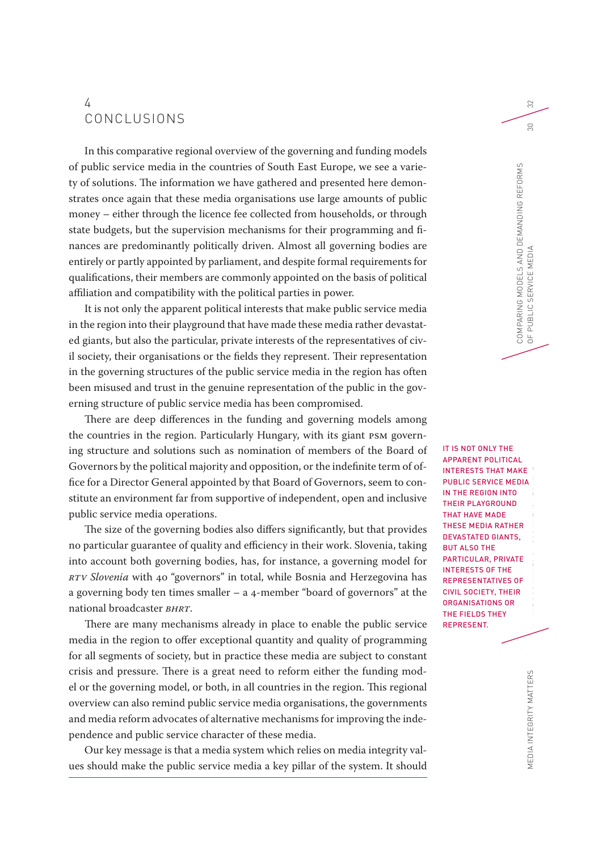# 4 CONCLUSIONS

In this comparative regional overview of the governing and funding models of public service media in the countries of South East Europe, we see a variety of solutions. The information we have gathered and presented here demonstrates once again that these media organisations use large amounts of public money – either through the licence fee collected from households, or through state budgets, but the supervision mechanisms for their programming and finances are predominantly politically driven. Almost all governing bodies are entirely or partly appointed by parliament, and despite formal requirements for qualifications, their members are commonly appointed on the basis of political affiliation and compatibility with the political parties in power.

It is not only the apparent political interests that make public service media in the region into their playground that have made these media rather devastated giants, but also the particular, private interests of the representatives of civil society, their organisations or the fields they represent. Their representation in the governing structures of the public service media in the region has often been misused and trust in the genuine representation of the public in the governing structure of public service media has been compromised.

There are deep differences in the funding and governing models among the countries in the region. Particularly Hungary, with its giant PSM governing structure and solutions such as nomination of members of the Board of Governors by the political majority and opposition, or the indefinite term of office for a Director General appointed by that Board of Governors, seem to constitute an environment far from supportive of independent, open and inclusive public service media operations.

The size of the governing bodies also differs significantly, but that provides no particular guarantee of quality and efficiency in their work. Slovenia, taking into account both governing bodies, has, for instance, a governing model for *RTV Slovenia* with 40 "governors" in total, while Bosnia and Herzegovina has a governing body ten times smaller – a 4-member "board of governors" at the national broadcaster *BHRT*.

There are many mechanisms already in place to enable the public service media in the region to offer exceptional quantity and quality of programming for all segments of society, but in practice these media are subject to constant crisis and pressure. There is a great need to reform either the funding model or the governing model, or both, in all countries in the region. This regional overview can also remind public service media organisations, the governments and media reform advocates of alternative mechanisms for improving the independence and public service character of these media.

Our key message is that a media system which relies on media integrity values should make the public service media a key pillar of the system. It should

runding and Government<br>Funding Government<br>Ring of the Public Service Media APPARENT POLITICAL INTERESTS THAT MAKE PUBLIC SERVICE MEDIA IN THE REGION INTO THEIR PLAYGROUND THAT HAVE MADE THESE MEDIA RATHER DEVASTATED GIANTS, BUT ALSO THE PARTICULAR, PRIVATE INTERESTS OF THE REPRESENTATIVES OF CIVIL SOCIETY, THEIR ORGANISATIONS OR THE FIELDS THEY REPRESENT.

IT IS NOT ONLY THE

 $\approx$ 

MEDIA INTEGRITY MATTERS MEDIA INTEGRITY MATTERS

IN THE COUNTRIES OF SOUTH EAST END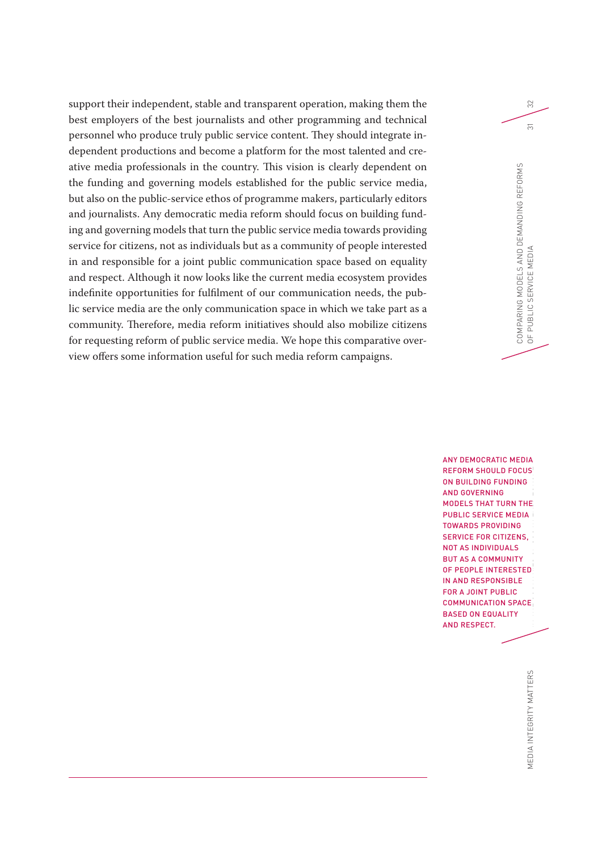support their independent, stable and transparent operation, making them the best employers of the best journalists and other programming and technical personnel who produce truly public service content. They should integrate independent productions and become a platform for the most talented and creative media professionals in the country. This vision is clearly dependent on the funding and governing models established for the public service media, but also on the public-service ethos of programme makers, particularly editors and journalists. Any democratic media reform should focus on building funding and governing models that turn the public service media towards providing service for citizens, not as individuals but as a community of people interested in and responsible for a joint public communication space based on equality and respect. Although it now looks like the current media ecosystem provides indefinite opportunities for fulfilment of our communication needs, the public service media are the only communication space in which we take part as a community. Therefore, media reform initiatives should also mobilize citizens for requesting reform of public service media. We hope this comparative overview offers some information useful for such media reform campaigns.

> FUNDING AND GOVERNING MODELS OF THE PUBLIC SERVICE SERVICE SERVICE SERVICE SERVICE SERVICE SERVICE SERVICE SERVICE SERVICE SERVICE SERVICE SERVICE SERVICE SERVICE SERVICE SERVICE SERVICE SERVICE SERVICE SERVICE SERVICE SER IN THE COUNTRIES OF SOUTH EAST EUROPE ANY DEMOCRATIC MEDIA REFORM SHOULD FOCUS ON BUILDING FUNDING AND GOVERNING MODELS THAT TURN THE PUBLIC SERVICE MEDIA TOWARDS PROVIDING SERVICE FOR CITIZENS, NOT AS INDIVIDUALS BUT AS A COMMUNITY OF PEOPLE INTERESTED IN AND RESPONSIBLE FOR A JOINT PUBLIC COMMUNICATION SPACE BASED ON EQUALITY AND RESPECT.

COMPARING MODELS AND DEMANDING REFORMS

COMPARING MODELS AND DEMANDING REFORMS<br>OF PUBLIC SERVICE MEDIA

OF PUBLIC SERVICE MEDIA 31

 $\approx$ 

 $\overline{5}$